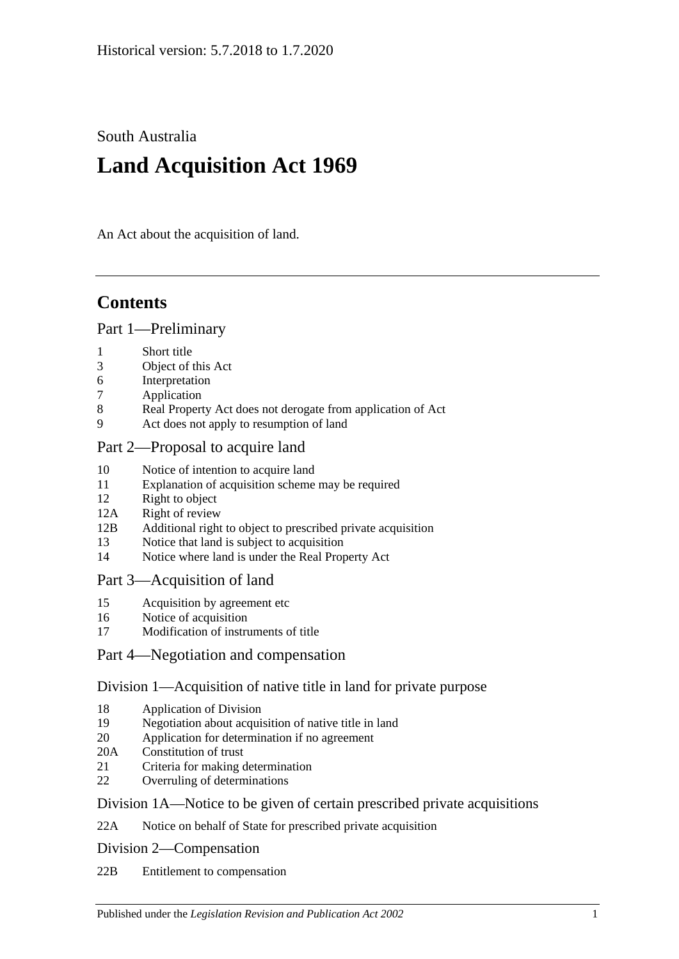South Australia

# **Land Acquisition Act 1969**

An Act about the acquisition of land.

# **Contents**

#### [Part 1—Preliminary](#page-1-0)

- 1 [Short title](#page-1-1)
- 3 [Object of this Act](#page-1-2)
- 6 [Interpretation](#page-1-3)
- 7 [Application](#page-3-0)
- 8 [Real Property Act does not derogate from application of Act](#page-3-1)
- 9 [Act does not apply to resumption of land](#page-3-2)

## [Part 2—Proposal to acquire land](#page-3-3)

- 10 [Notice of intention to acquire land](#page-3-4)
- 11 [Explanation of acquisition scheme may be required](#page-5-0)
- 12 [Right to object](#page-5-1)
- 12A [Right of review](#page-6-0)
- 12B Additional right to object [to prescribed private acquisition](#page-7-0)
- 13 [Notice that land is subject to acquisition](#page-8-0)
- 14 [Notice where land is under the Real Property Act](#page-8-1)

## [Part 3—Acquisition of land](#page-9-0)

- 15 [Acquisition by agreement etc](#page-9-1)
- 16 [Notice of acquisition](#page-10-0)
- 17 [Modification of instruments of title](#page-11-0)

## [Part 4—Negotiation and compensation](#page-11-1)

# [Division 1—Acquisition of native title in land for private purpose](#page-11-2)

- 18 [Application of Division](#page-11-3)
- 19 [Negotiation about acquisition of native title in land](#page-12-0)
- 20 [Application for determination if no agreement](#page-12-1)
- 20A [Constitution of trust](#page-13-0)
- 21 [Criteria for making determination](#page-14-0)
- 22 [Overruling of determinations](#page-15-0)

## [Division 1A—Notice to be given of certain prescribed private acquisitions](#page-15-1)

22A [Notice on behalf of State for prescribed private acquisition](#page-15-2)

[Division 2—Compensation](#page-15-3)

22B [Entitlement to compensation](#page-15-4)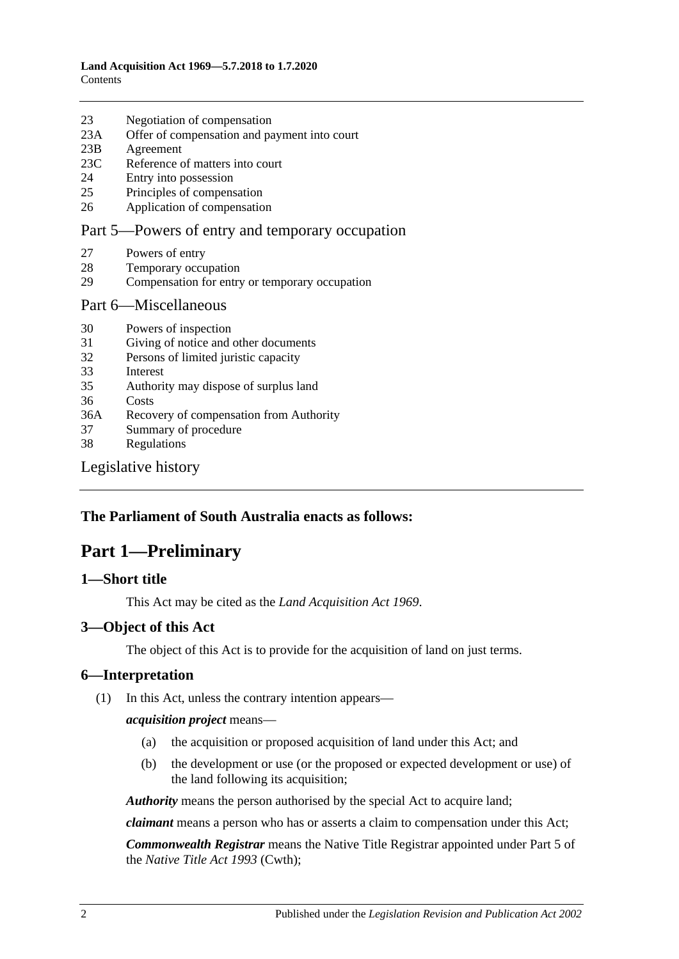| 23 | Negotiation of compensation |  |
|----|-----------------------------|--|
|    |                             |  |

- 23A [Offer of compensation and payment into court](#page-16-0)
- 23B [Agreement](#page-16-1)
- 23C [Reference of matters into court](#page-17-0)
- 24 [Entry into possession](#page-17-1)
- 25 [Principles of compensation](#page-18-0)
- 26 [Application of compensation](#page-19-0)

#### [Part 5—Powers of entry and temporary occupation](#page-20-0)

- 27 [Powers of entry](#page-20-1)
- 28 [Temporary occupation](#page-20-2)
- 29 [Compensation for entry or temporary occupation](#page-21-0)

#### [Part 6—Miscellaneous](#page-21-1)

- 30 [Powers of inspection](#page-21-2)
- 31 [Giving of notice and other documents](#page-21-3)
- 32 [Persons of limited juristic capacity](#page-22-0)
- 33 [Interest](#page-22-1)
- 35 [Authority may dispose of surplus land](#page-22-2)
- 36 [Costs](#page-22-3)
- 36A [Recovery of compensation from Authority](#page-22-4)
- 37 [Summary of procedure](#page-23-0)
- 38 [Regulations](#page-23-1)

[Legislative history](#page-24-0)

#### <span id="page-1-0"></span>**The Parliament of South Australia enacts as follows:**

# **Part 1—Preliminary**

#### <span id="page-1-1"></span>**1—Short title**

This Act may be cited as the *Land Acquisition Act 1969*.

#### <span id="page-1-2"></span>**3—Object of this Act**

The object of this Act is to provide for the acquisition of land on just terms.

#### <span id="page-1-3"></span>**6—Interpretation**

(1) In this Act, unless the contrary intention appears—

#### *acquisition project* means—

- (a) the acquisition or proposed acquisition of land under this Act; and
- (b) the development or use (or the proposed or expected development or use) of the land following its acquisition;

*Authority* means the person authorised by the special Act to acquire land;

*claimant* means a person who has or asserts a claim to compensation under this Act;

*Commonwealth Registrar* means the Native Title Registrar appointed under Part 5 of the *Native Title Act 1993* (Cwth);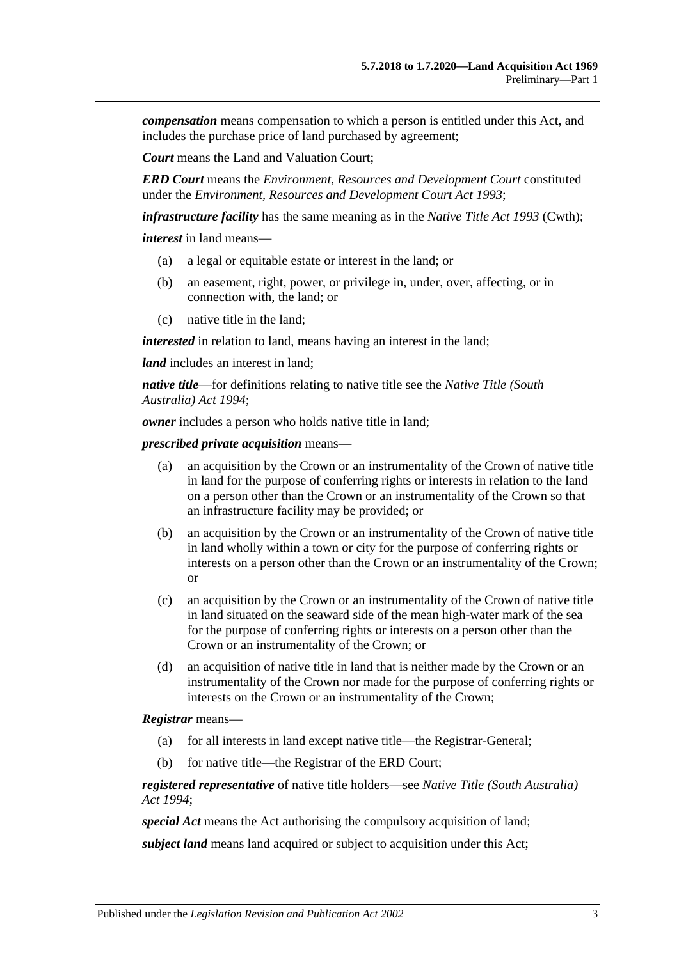*compensation* means compensation to which a person is entitled under this Act, and includes the purchase price of land purchased by agreement;

*Court* means the Land and Valuation Court;

*ERD Court* means the *Environment, Resources and Development Court* constituted under the *[Environment, Resources and Development Court Act](http://www.legislation.sa.gov.au/index.aspx?action=legref&type=act&legtitle=Environment%20Resources%20and%20Development%20Court%20Act%201993) 1993*;

*infrastructure facility* has the same meaning as in the *Native Title Act 1993* (Cwth);

*interest* in land means—

- (a) a legal or equitable estate or interest in the land; or
- (b) an easement, right, power, or privilege in, under, over, affecting, or in connection with, the land; or
- (c) native title in the land;

*interested* in relation to land, means having an interest in the land;

*land* includes an interest in land:

*native title*—for definitions relating to native title see the *[Native Title \(South](http://www.legislation.sa.gov.au/index.aspx?action=legref&type=act&legtitle=Native%20Title%20(South%20Australia)%20Act%201994)  [Australia\) Act](http://www.legislation.sa.gov.au/index.aspx?action=legref&type=act&legtitle=Native%20Title%20(South%20Australia)%20Act%201994) 1994*;

*owner* includes a person who holds native title in land;

*prescribed private acquisition* means—

- (a) an acquisition by the Crown or an instrumentality of the Crown of native title in land for the purpose of conferring rights or interests in relation to the land on a person other than the Crown or an instrumentality of the Crown so that an infrastructure facility may be provided; or
- (b) an acquisition by the Crown or an instrumentality of the Crown of native title in land wholly within a town or city for the purpose of conferring rights or interests on a person other than the Crown or an instrumentality of the Crown; or
- (c) an acquisition by the Crown or an instrumentality of the Crown of native title in land situated on the seaward side of the mean high-water mark of the sea for the purpose of conferring rights or interests on a person other than the Crown or an instrumentality of the Crown; or
- (d) an acquisition of native title in land that is neither made by the Crown or an instrumentality of the Crown nor made for the purpose of conferring rights or interests on the Crown or an instrumentality of the Crown;

#### *Registrar* means—

- (a) for all interests in land except native title—the Registrar-General;
- (b) for native title—the Registrar of the ERD Court;

*registered representative* of native title holders—see *[Native Title \(South Australia\)](http://www.legislation.sa.gov.au/index.aspx?action=legref&type=act&legtitle=Native%20Title%20(South%20Australia)%20Act%201994)  Act [1994](http://www.legislation.sa.gov.au/index.aspx?action=legref&type=act&legtitle=Native%20Title%20(South%20Australia)%20Act%201994)*;

*special Act* means the Act authorising the compulsory acquisition of land;

*subject land* means land acquired or subject to acquisition under this Act;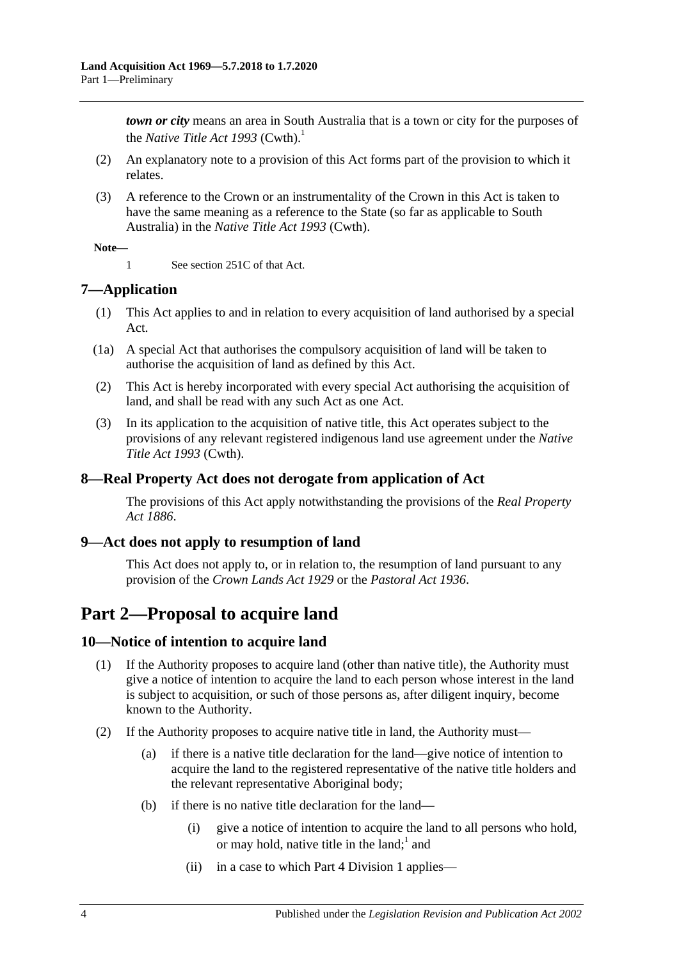*town or city* means an area in South Australia that is a town or city for the purposes of the *Native Title Act* 1993 (Cwth).<sup>1</sup>

- (2) An explanatory note to a provision of this Act forms part of the provision to which it relates.
- (3) A reference to the Crown or an instrumentality of the Crown in this Act is taken to have the same meaning as a reference to the State (so far as applicable to South Australia) in the *Native Title Act 1993* (Cwth).

#### **Note—**

1 See section 251C of that Act.

# <span id="page-3-0"></span>**7—Application**

- (1) This Act applies to and in relation to every acquisition of land authorised by a special Act.
- (1a) A special Act that authorises the compulsory acquisition of land will be taken to authorise the acquisition of land as defined by this Act.
- (2) This Act is hereby incorporated with every special Act authorising the acquisition of land, and shall be read with any such Act as one Act.
- (3) In its application to the acquisition of native title, this Act operates subject to the provisions of any relevant registered indigenous land use agreement under the *Native Title Act 1993* (Cwth).

## <span id="page-3-1"></span>**8—Real Property Act does not derogate from application of Act**

The provisions of this Act apply notwithstanding the provisions of the *[Real Property](http://www.legislation.sa.gov.au/index.aspx?action=legref&type=act&legtitle=Real%20Property%20Act%201886)  Act [1886](http://www.legislation.sa.gov.au/index.aspx?action=legref&type=act&legtitle=Real%20Property%20Act%201886)*.

## <span id="page-3-2"></span>**9—Act does not apply to resumption of land**

This Act does not apply to, or in relation to, the resumption of land pursuant to any provision of the *[Crown Lands Act](http://www.legislation.sa.gov.au/index.aspx?action=legref&type=act&legtitle=Crown%20Lands%20Act%201929) 1929* or the *[Pastoral Act](http://www.legislation.sa.gov.au/index.aspx?action=legref&type=act&legtitle=Pastoral%20Act%201936) 1936*.

# <span id="page-3-3"></span>**Part 2—Proposal to acquire land**

## <span id="page-3-4"></span>**10—Notice of intention to acquire land**

- (1) If the Authority proposes to acquire land (other than native title), the Authority must give a notice of intention to acquire the land to each person whose interest in the land is subject to acquisition, or such of those persons as, after diligent inquiry, become known to the Authority.
- <span id="page-3-5"></span>(2) If the Authority proposes to acquire native title in land, the Authority must—
	- (a) if there is a native title declaration for the land—give notice of intention to acquire the land to the registered representative of the native title holders and the relevant representative Aboriginal body;
	- (b) if there is no native title declaration for the land—
		- (i) give a notice of intention to acquire the land to all persons who hold, or may hold, native title in the land;  $1$  and
		- (ii) in a case to which [Part 4 Division 1](#page-11-2) applies—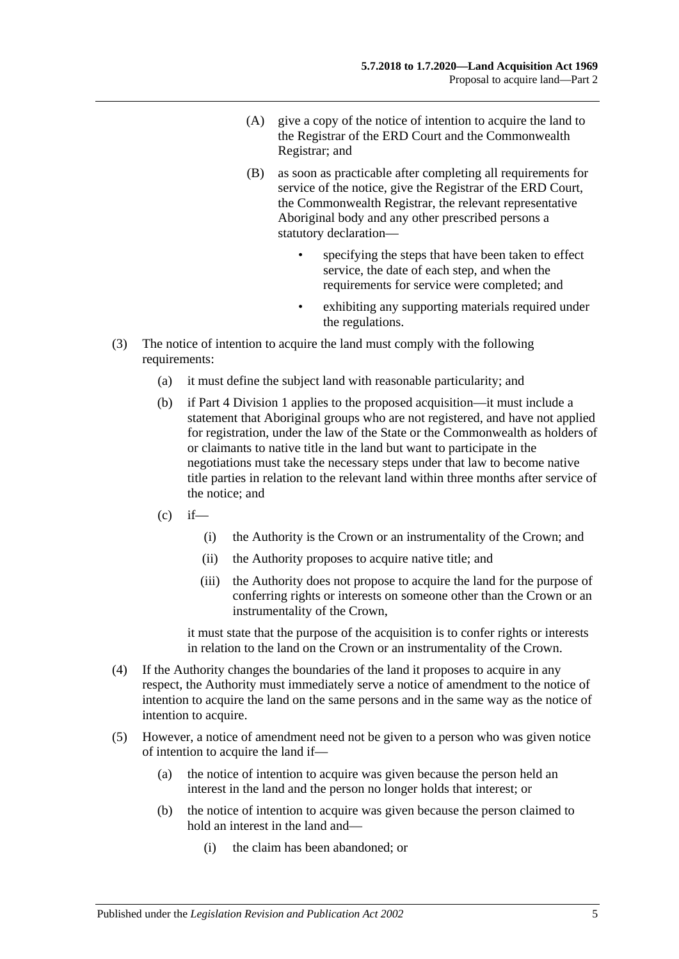- (A) give a copy of the notice of intention to acquire the land to the Registrar of the ERD Court and the Commonwealth Registrar; and
- (B) as soon as practicable after completing all requirements for service of the notice, give the Registrar of the ERD Court, the Commonwealth Registrar, the relevant representative Aboriginal body and any other prescribed persons a statutory declaration
	- specifying the steps that have been taken to effect service, the date of each step, and when the requirements for service were completed; and
	- exhibiting any supporting materials required under the regulations.
- (3) The notice of intention to acquire the land must comply with the following requirements:
	- (a) it must define the subject land with reasonable particularity; and
	- (b) if [Part 4 Division 1](#page-11-2) applies to the proposed acquisition—it must include a statement that Aboriginal groups who are not registered, and have not applied for registration, under the law of the State or the Commonwealth as holders of or claimants to native title in the land but want to participate in the negotiations must take the necessary steps under that law to become native title parties in relation to the relevant land within three months after service of the notice; and
	- $(c)$  if—
		- (i) the Authority is the Crown or an instrumentality of the Crown; and
		- (ii) the Authority proposes to acquire native title; and
		- (iii) the Authority does not propose to acquire the land for the purpose of conferring rights or interests on someone other than the Crown or an instrumentality of the Crown,

it must state that the purpose of the acquisition is to confer rights or interests in relation to the land on the Crown or an instrumentality of the Crown.

- (4) If the Authority changes the boundaries of the land it proposes to acquire in any respect, the Authority must immediately serve a notice of amendment to the notice of intention to acquire the land on the same persons and in the same way as the notice of intention to acquire.
- (5) However, a notice of amendment need not be given to a person who was given notice of intention to acquire the land if—
	- (a) the notice of intention to acquire was given because the person held an interest in the land and the person no longer holds that interest; or
	- (b) the notice of intention to acquire was given because the person claimed to hold an interest in the land and—
		- (i) the claim has been abandoned; or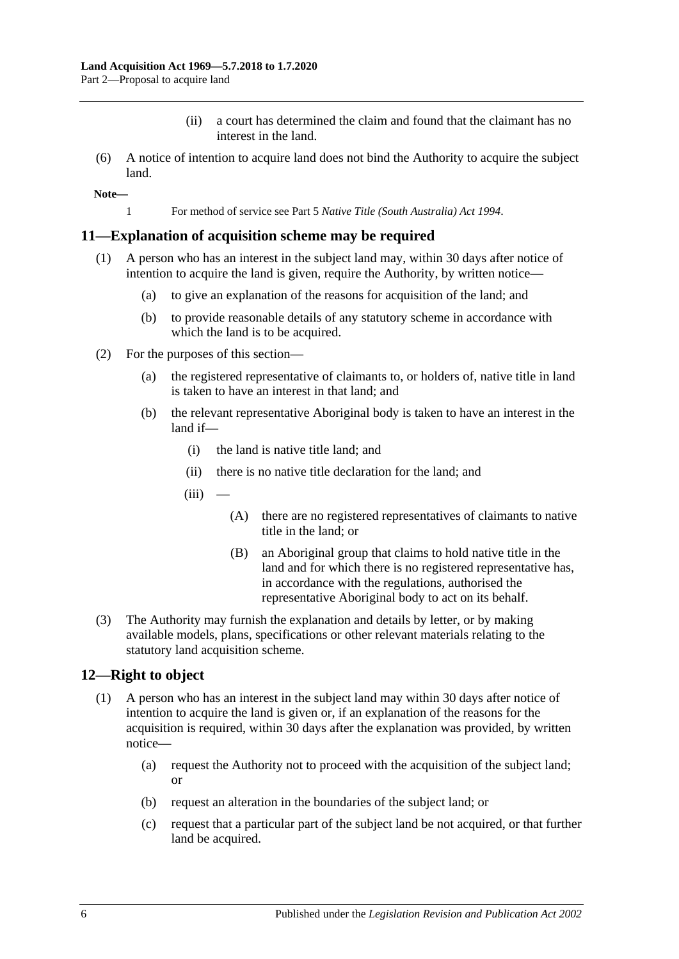- (ii) a court has determined the claim and found that the claimant has no interest in the land.
- (6) A notice of intention to acquire land does not bind the Authority to acquire the subject land.

**Note—**

1 For method of service see Part 5 *[Native Title \(South Australia\) Act](http://www.legislation.sa.gov.au/index.aspx?action=legref&type=act&legtitle=Native%20Title%20(South%20Australia)%20Act%201994) 1994*.

#### <span id="page-5-0"></span>**11—Explanation of acquisition scheme may be required**

- (1) A person who has an interest in the subject land may, within 30 days after notice of intention to acquire the land is given, require the Authority, by written notice—
	- (a) to give an explanation of the reasons for acquisition of the land; and
	- (b) to provide reasonable details of any statutory scheme in accordance with which the land is to be acquired.
- (2) For the purposes of this section—
	- (a) the registered representative of claimants to, or holders of, native title in land is taken to have an interest in that land; and
	- (b) the relevant representative Aboriginal body is taken to have an interest in the land if—
		- (i) the land is native title land; and
		- (ii) there is no native title declaration for the land; and
		- $(iii)$ 
			- (A) there are no registered representatives of claimants to native title in the land; or
			- (B) an Aboriginal group that claims to hold native title in the land and for which there is no registered representative has, in accordance with the regulations, authorised the representative Aboriginal body to act on its behalf.
- (3) The Authority may furnish the explanation and details by letter, or by making available models, plans, specifications or other relevant materials relating to the statutory land acquisition scheme.

#### <span id="page-5-2"></span><span id="page-5-1"></span>**12—Right to object**

- (1) A person who has an interest in the subject land may within 30 days after notice of intention to acquire the land is given or, if an explanation of the reasons for the acquisition is required, within 30 days after the explanation was provided, by written notice—
	- (a) request the Authority not to proceed with the acquisition of the subject land; or
	- (b) request an alteration in the boundaries of the subject land; or
	- (c) request that a particular part of the subject land be not acquired, or that further land be acquired.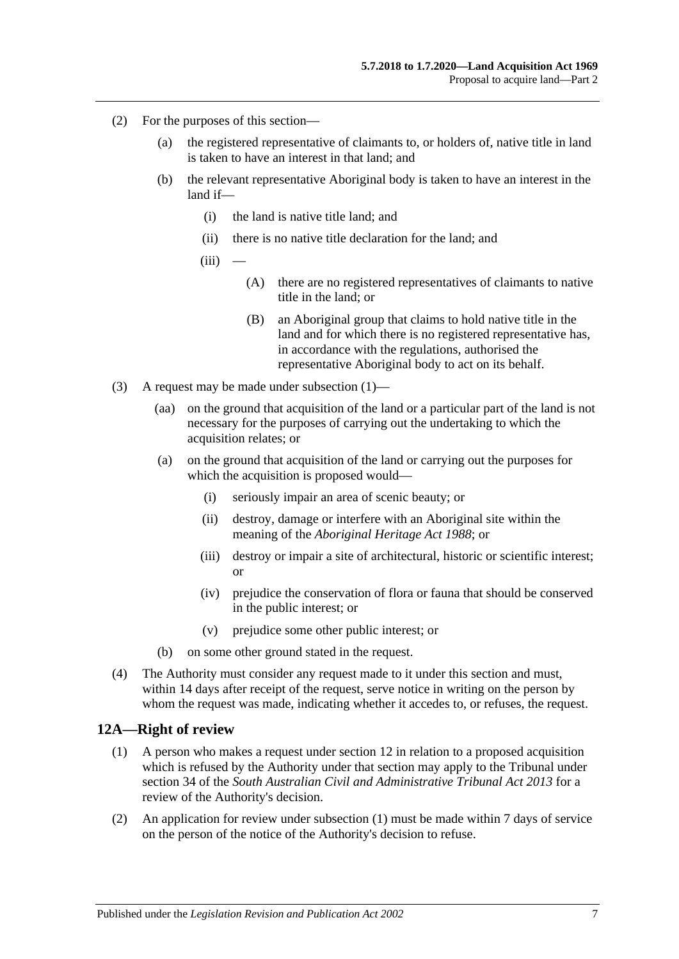- (2) For the purposes of this section—
	- (a) the registered representative of claimants to, or holders of, native title in land is taken to have an interest in that land; and
	- (b) the relevant representative Aboriginal body is taken to have an interest in the land if—
		- (i) the land is native title land; and
		- (ii) there is no native title declaration for the land; and
		- $(iii)$ 
			- (A) there are no registered representatives of claimants to native title in the land; or
			- (B) an Aboriginal group that claims to hold native title in the land and for which there is no registered representative has, in accordance with the regulations, authorised the representative Aboriginal body to act on its behalf.
- (3) A request may be made under [subsection](#page-5-2) (1)—
	- (aa) on the ground that acquisition of the land or a particular part of the land is not necessary for the purposes of carrying out the undertaking to which the acquisition relates; or
	- (a) on the ground that acquisition of the land or carrying out the purposes for which the acquisition is proposed would—
		- (i) seriously impair an area of scenic beauty; or
		- (ii) destroy, damage or interfere with an Aboriginal site within the meaning of the *[Aboriginal Heritage Act](http://www.legislation.sa.gov.au/index.aspx?action=legref&type=act&legtitle=Aboriginal%20Heritage%20Act%201988) 1988*; or
		- (iii) destroy or impair a site of architectural, historic or scientific interest; or
		- (iv) prejudice the conservation of flora or fauna that should be conserved in the public interest; or
		- (v) prejudice some other public interest; or
	- (b) on some other ground stated in the request.
- (4) The Authority must consider any request made to it under this section and must, within 14 days after receipt of the request, serve notice in writing on the person by whom the request was made, indicating whether it accedes to, or refuses, the request.

#### <span id="page-6-1"></span><span id="page-6-0"></span>**12A—Right of review**

- (1) A person who makes a request under [section](#page-5-1) 12 in relation to a proposed acquisition which is refused by the Authority under that section may apply to the Tribunal under section 34 of the *[South Australian Civil and Administrative Tribunal Act](http://www.legislation.sa.gov.au/index.aspx?action=legref&type=act&legtitle=South%20Australian%20Civil%20and%20Administrative%20Tribunal%20Act%202013) 2013* for a review of the Authority's decision.
- (2) An application for review under [subsection](#page-6-1) (1) must be made within 7 days of service on the person of the notice of the Authority's decision to refuse.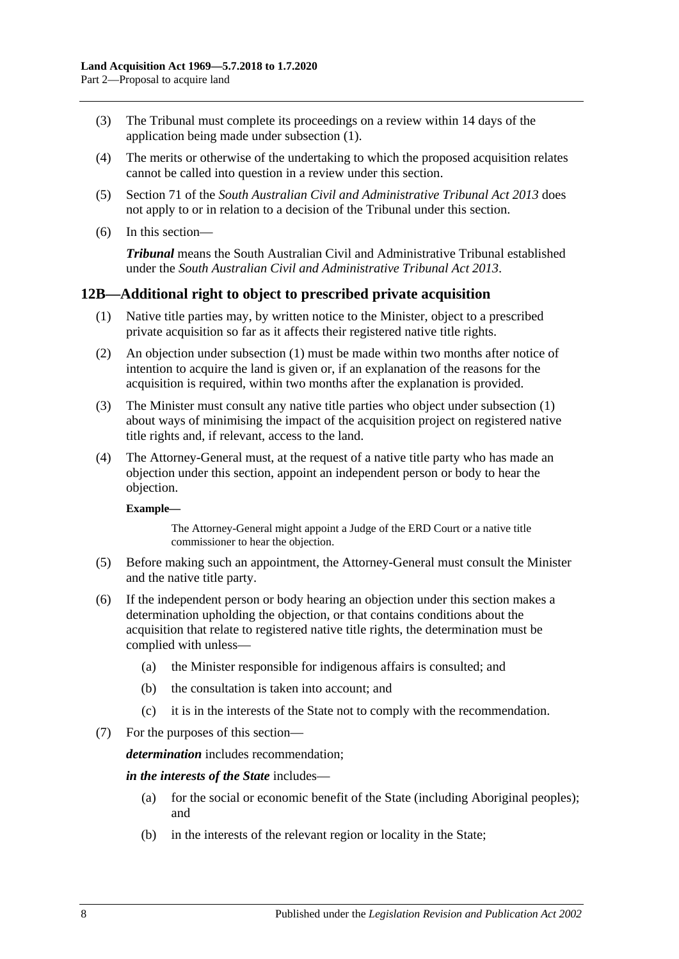- (3) The Tribunal must complete its proceedings on a review within 14 days of the application being made under [subsection](#page-6-1) (1).
- (4) The merits or otherwise of the undertaking to which the proposed acquisition relates cannot be called into question in a review under this section.
- (5) Section 71 of the *[South Australian Civil and Administrative Tribunal Act](http://www.legislation.sa.gov.au/index.aspx?action=legref&type=act&legtitle=South%20Australian%20Civil%20and%20Administrative%20Tribunal%20Act%202013) 2013* does not apply to or in relation to a decision of the Tribunal under this section.
- (6) In this section—

*Tribunal* means the South Australian Civil and Administrative Tribunal established under the *[South Australian Civil and Administrative Tribunal Act](http://www.legislation.sa.gov.au/index.aspx?action=legref&type=act&legtitle=South%20Australian%20Civil%20and%20Administrative%20Tribunal%20Act%202013) 2013*.

## <span id="page-7-1"></span><span id="page-7-0"></span>**12B—Additional right to object to prescribed private acquisition**

- (1) Native title parties may, by written notice to the Minister, object to a prescribed private acquisition so far as it affects their registered native title rights.
- (2) An objection under [subsection](#page-7-1) (1) must be made within two months after notice of intention to acquire the land is given or, if an explanation of the reasons for the acquisition is required, within two months after the explanation is provided.
- (3) The Minister must consult any native title parties who object under [subsection](#page-7-1) (1) about ways of minimising the impact of the acquisition project on registered native title rights and, if relevant, access to the land.
- (4) The Attorney-General must, at the request of a native title party who has made an objection under this section, appoint an independent person or body to hear the objection.

#### **Example—**

The Attorney-General might appoint a Judge of the ERD Court or a native title commissioner to hear the objection.

- (5) Before making such an appointment, the Attorney-General must consult the Minister and the native title party.
- (6) If the independent person or body hearing an objection under this section makes a determination upholding the objection, or that contains conditions about the acquisition that relate to registered native title rights, the determination must be complied with unless—
	- (a) the Minister responsible for indigenous affairs is consulted; and
	- (b) the consultation is taken into account; and
	- (c) it is in the interests of the State not to comply with the recommendation.
- (7) For the purposes of this section—

*determination* includes recommendation;

#### *in the interests of the State* includes—

- (a) for the social or economic benefit of the State (including Aboriginal peoples); and
- (b) in the interests of the relevant region or locality in the State;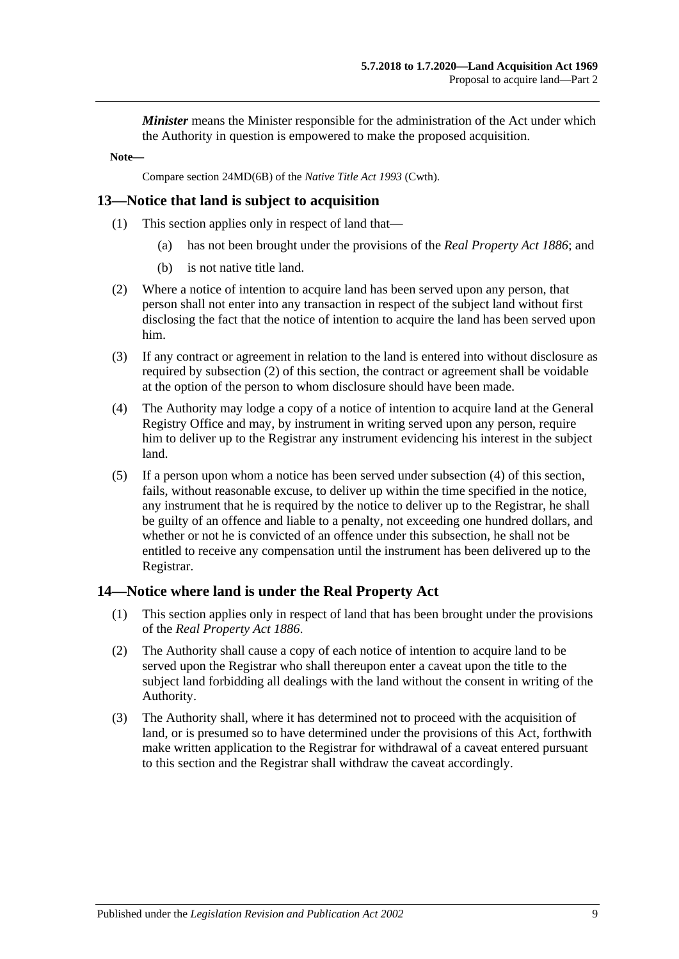*Minister* means the Minister responsible for the administration of the Act under which the Authority in question is empowered to make the proposed acquisition.

**Note—**

Compare section 24MD(6B) of the *Native Title Act 1993* (Cwth).

#### <span id="page-8-0"></span>**13—Notice that land is subject to acquisition**

- (1) This section applies only in respect of land that—
	- (a) has not been brought under the provisions of the *[Real Property Act](http://www.legislation.sa.gov.au/index.aspx?action=legref&type=act&legtitle=Real%20Property%20Act%201886) 1886*; and
	- (b) is not native title land.
- <span id="page-8-2"></span>(2) Where a notice of intention to acquire land has been served upon any person, that person shall not enter into any transaction in respect of the subject land without first disclosing the fact that the notice of intention to acquire the land has been served upon him.
- (3) If any contract or agreement in relation to the land is entered into without disclosure as required by [subsection](#page-8-2) (2) of this section, the contract or agreement shall be voidable at the option of the person to whom disclosure should have been made.
- <span id="page-8-3"></span>(4) The Authority may lodge a copy of a notice of intention to acquire land at the General Registry Office and may, by instrument in writing served upon any person, require him to deliver up to the Registrar any instrument evidencing his interest in the subject land.
- (5) If a person upon whom a notice has been served under [subsection](#page-8-3) (4) of this section, fails, without reasonable excuse, to deliver up within the time specified in the notice, any instrument that he is required by the notice to deliver up to the Registrar, he shall be guilty of an offence and liable to a penalty, not exceeding one hundred dollars, and whether or not he is convicted of an offence under this subsection, he shall not be entitled to receive any compensation until the instrument has been delivered up to the Registrar.

## <span id="page-8-1"></span>**14—Notice where land is under the Real Property Act**

- (1) This section applies only in respect of land that has been brought under the provisions of the *[Real Property Act](http://www.legislation.sa.gov.au/index.aspx?action=legref&type=act&legtitle=Real%20Property%20Act%201886) 1886*.
- (2) The Authority shall cause a copy of each notice of intention to acquire land to be served upon the Registrar who shall thereupon enter a caveat upon the title to the subject land forbidding all dealings with the land without the consent in writing of the Authority.
- (3) The Authority shall, where it has determined not to proceed with the acquisition of land, or is presumed so to have determined under the provisions of this Act, forthwith make written application to the Registrar for withdrawal of a caveat entered pursuant to this section and the Registrar shall withdraw the caveat accordingly.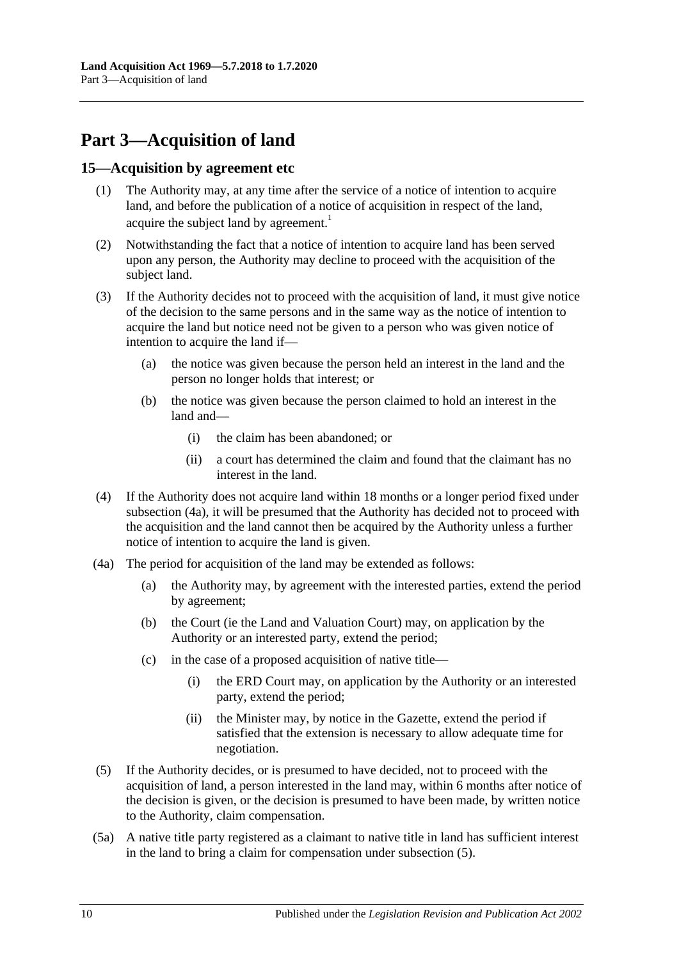# <span id="page-9-0"></span>**Part 3—Acquisition of land**

#### <span id="page-9-1"></span>**15—Acquisition by agreement etc**

- (1) The Authority may, at any time after the service of a notice of intention to acquire land, and before the publication of a notice of acquisition in respect of the land, acquire the subject land by agreement.<sup>1</sup>
- (2) Notwithstanding the fact that a notice of intention to acquire land has been served upon any person, the Authority may decline to proceed with the acquisition of the subject land.
- (3) If the Authority decides not to proceed with the acquisition of land, it must give notice of the decision to the same persons and in the same way as the notice of intention to acquire the land but notice need not be given to a person who was given notice of intention to acquire the land if—
	- (a) the notice was given because the person held an interest in the land and the person no longer holds that interest; or
	- (b) the notice was given because the person claimed to hold an interest in the land and—
		- (i) the claim has been abandoned; or
		- (ii) a court has determined the claim and found that the claimant has no interest in the land.
- <span id="page-9-4"></span>(4) If the Authority does not acquire land within 18 months or a longer period fixed under [subsection](#page-9-2) (4a), it will be presumed that the Authority has decided not to proceed with the acquisition and the land cannot then be acquired by the Authority unless a further notice of intention to acquire the land is given.
- <span id="page-9-2"></span>(4a) The period for acquisition of the land may be extended as follows:
	- (a) the Authority may, by agreement with the interested parties, extend the period by agreement;
	- (b) the Court (ie the Land and Valuation Court) may, on application by the Authority or an interested party, extend the period;
	- (c) in the case of a proposed acquisition of native title—
		- (i) the ERD Court may, on application by the Authority or an interested party, extend the period;
		- (ii) the Minister may, by notice in the Gazette, extend the period if satisfied that the extension is necessary to allow adequate time for negotiation.
- <span id="page-9-3"></span>(5) If the Authority decides, or is presumed to have decided, not to proceed with the acquisition of land, a person interested in the land may, within 6 months after notice of the decision is given, or the decision is presumed to have been made, by written notice to the Authority, claim compensation.
- (5a) A native title party registered as a claimant to native title in land has sufficient interest in the land to bring a claim for compensation under [subsection](#page-9-3) (5).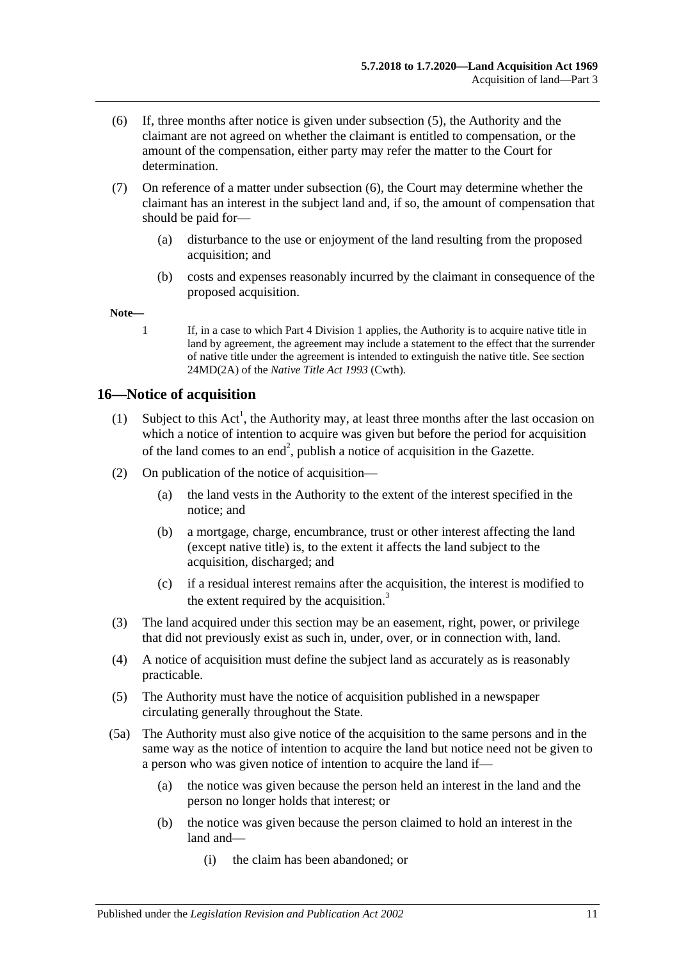- <span id="page-10-1"></span>(6) If, three months after notice is given under [subsection](#page-9-3) (5), the Authority and the claimant are not agreed on whether the claimant is entitled to compensation, or the amount of the compensation, either party may refer the matter to the Court for determination.
- (7) On reference of a matter under [subsection](#page-10-1) (6), the Court may determine whether the claimant has an interest in the subject land and, if so, the amount of compensation that should be paid for—
	- (a) disturbance to the use or enjoyment of the land resulting from the proposed acquisition; and
	- (b) costs and expenses reasonably incurred by the claimant in consequence of the proposed acquisition.

**Note—**

1 If, in a case to which [Part 4 Division 1](#page-11-2) applies, the Authority is to acquire native title in land by agreement, the agreement may include a statement to the effect that the surrender of native title under the agreement is intended to extinguish the native title. See section 24MD(2A) of the *Native Title Act 1993* (Cwth).

# <span id="page-10-0"></span>**16—Notice of acquisition**

- (1) Subject to this  $Act^1$ , the Authority may, at least three months after the last occasion on which a notice of intention to acquire was given but before the period for acquisition of the land comes to an end<sup>2</sup>, publish a notice of acquisition in the Gazette.
- (2) On publication of the notice of acquisition—
	- (a) the land vests in the Authority to the extent of the interest specified in the notice; and
	- (b) a mortgage, charge, encumbrance, trust or other interest affecting the land (except native title) is, to the extent it affects the land subject to the acquisition, discharged; and
	- (c) if a residual interest remains after the acquisition, the interest is modified to the extent required by the acquisition. $3$
- (3) The land acquired under this section may be an easement, right, power, or privilege that did not previously exist as such in, under, over, or in connection with, land.
- (4) A notice of acquisition must define the subject land as accurately as is reasonably practicable.
- (5) The Authority must have the notice of acquisition published in a newspaper circulating generally throughout the State.
- (5a) The Authority must also give notice of the acquisition to the same persons and in the same way as the notice of intention to acquire the land but notice need not be given to a person who was given notice of intention to acquire the land if—
	- (a) the notice was given because the person held an interest in the land and the person no longer holds that interest; or
	- (b) the notice was given because the person claimed to hold an interest in the land and—
		- (i) the claim has been abandoned; or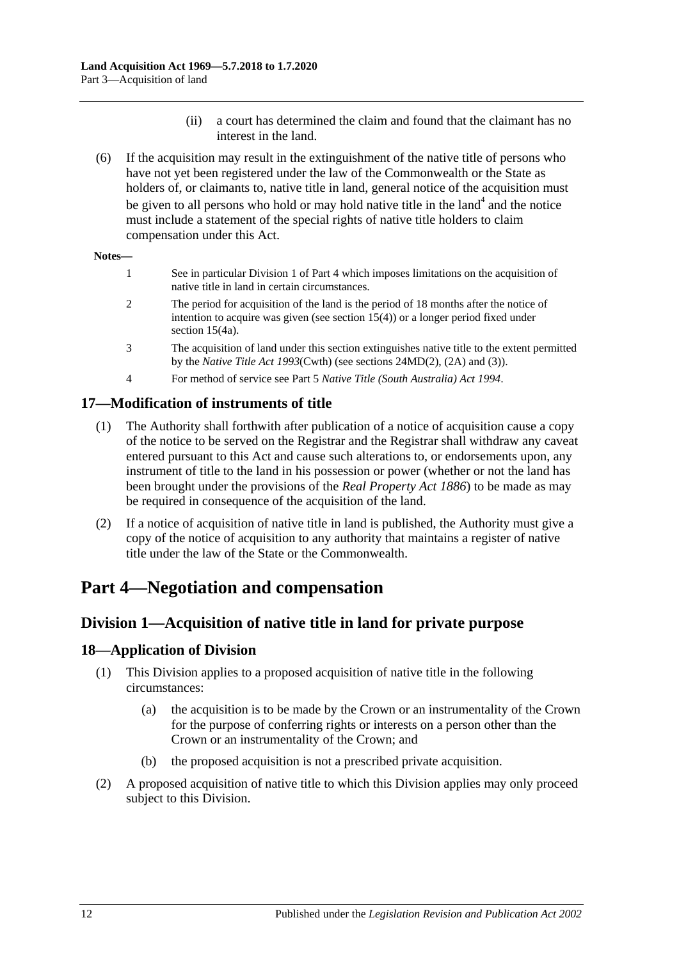- (ii) a court has determined the claim and found that the claimant has no interest in the land.
- (6) If the acquisition may result in the extinguishment of the native title of persons who have not yet been registered under the law of the Commonwealth or the State as holders of, or claimants to, native title in land, general notice of the acquisition must be given to all persons who hold or may hold native title in the land<sup>4</sup> and the notice must include a statement of the special rights of native title holders to claim compensation under this Act.

#### **Notes—**

- 1 See in particular [Division 1](#page-11-2) o[f Part 4](#page-11-1) which imposes limitations on the acquisition of native title in land in certain circumstances. 2 The period for acquisition of the land is the period of 18 months after the notice of intention to acquire was given (see [section](#page-9-4) 15(4)) or a longer period fixed under [section](#page-9-2) 15(4a).
- 3 The acquisition of land under this section extinguishes native title to the extent permitted by the *Native Title Act 1993*(Cwth) (see sections 24MD(2), (2A) and (3)).
- 4 For method of service see Part 5 *[Native Title \(South Australia\) Act](http://www.legislation.sa.gov.au/index.aspx?action=legref&type=act&legtitle=Native%20Title%20(South%20Australia)%20Act%201994) 1994*.

# <span id="page-11-0"></span>**17—Modification of instruments of title**

- (1) The Authority shall forthwith after publication of a notice of acquisition cause a copy of the notice to be served on the Registrar and the Registrar shall withdraw any caveat entered pursuant to this Act and cause such alterations to, or endorsements upon, any instrument of title to the land in his possession or power (whether or not the land has been brought under the provisions of the *[Real Property Act](http://www.legislation.sa.gov.au/index.aspx?action=legref&type=act&legtitle=Real%20Property%20Act%201886) 1886*) to be made as may be required in consequence of the acquisition of the land.
- (2) If a notice of acquisition of native title in land is published, the Authority must give a copy of the notice of acquisition to any authority that maintains a register of native title under the law of the State or the Commonwealth.

# <span id="page-11-1"></span>**Part 4—Negotiation and compensation**

# <span id="page-11-2"></span>**Division 1—Acquisition of native title in land for private purpose**

# <span id="page-11-3"></span>**18—Application of Division**

- (1) This Division applies to a proposed acquisition of native title in the following circumstances:
	- (a) the acquisition is to be made by the Crown or an instrumentality of the Crown for the purpose of conferring rights or interests on a person other than the Crown or an instrumentality of the Crown; and
	- (b) the proposed acquisition is not a prescribed private acquisition.
- (2) A proposed acquisition of native title to which this Division applies may only proceed subject to this Division.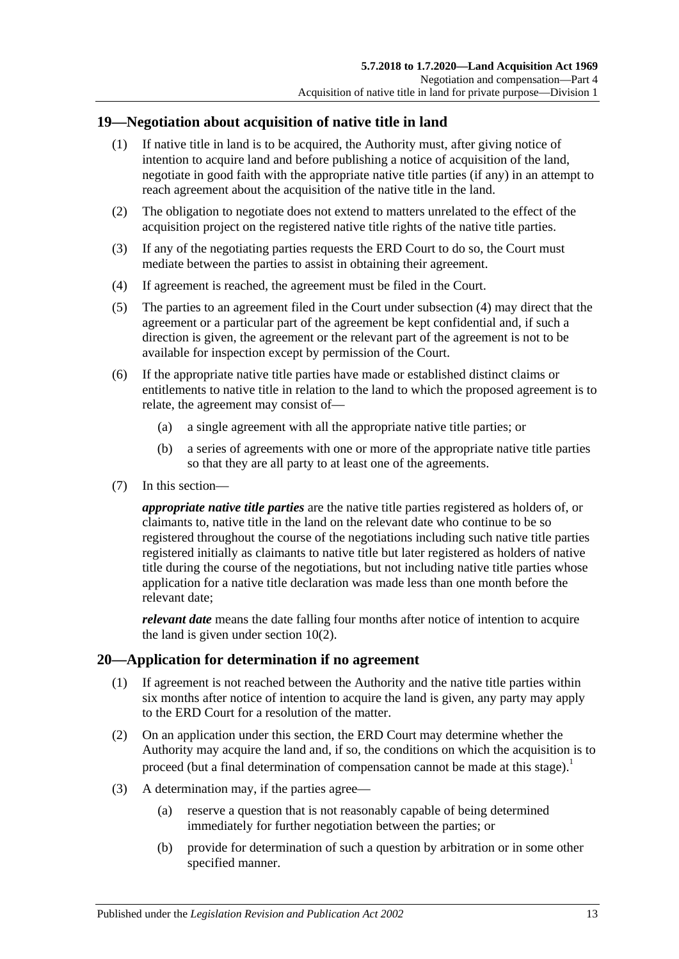# <span id="page-12-0"></span>**19—Negotiation about acquisition of native title in land**

- (1) If native title in land is to be acquired, the Authority must, after giving notice of intention to acquire land and before publishing a notice of acquisition of the land, negotiate in good faith with the appropriate native title parties (if any) in an attempt to reach agreement about the acquisition of the native title in the land.
- (2) The obligation to negotiate does not extend to matters unrelated to the effect of the acquisition project on the registered native title rights of the native title parties.
- (3) If any of the negotiating parties requests the ERD Court to do so, the Court must mediate between the parties to assist in obtaining their agreement.
- <span id="page-12-2"></span>(4) If agreement is reached, the agreement must be filed in the Court.
- (5) The parties to an agreement filed in the Court under [subsection](#page-12-2) (4) may direct that the agreement or a particular part of the agreement be kept confidential and, if such a direction is given, the agreement or the relevant part of the agreement is not to be available for inspection except by permission of the Court.
- (6) If the appropriate native title parties have made or established distinct claims or entitlements to native title in relation to the land to which the proposed agreement is to relate, the agreement may consist of—
	- (a) a single agreement with all the appropriate native title parties; or
	- (b) a series of agreements with one or more of the appropriate native title parties so that they are all party to at least one of the agreements.
- (7) In this section—

*appropriate native title parties* are the native title parties registered as holders of, or claimants to, native title in the land on the relevant date who continue to be so registered throughout the course of the negotiations including such native title parties registered initially as claimants to native title but later registered as holders of native title during the course of the negotiations, but not including native title parties whose application for a native title declaration was made less than one month before the relevant date;

*relevant date* means the date falling four months after notice of intention to acquire the land is given under [section](#page-3-5) 10(2).

## <span id="page-12-1"></span>**20—Application for determination if no agreement**

- (1) If agreement is not reached between the Authority and the native title parties within six months after notice of intention to acquire the land is given, any party may apply to the ERD Court for a resolution of the matter.
- (2) On an application under this section, the ERD Court may determine whether the Authority may acquire the land and, if so, the conditions on which the acquisition is to proceed (but a final determination of compensation cannot be made at this stage).<sup>1</sup>
- (3) A determination may, if the parties agree—
	- (a) reserve a question that is not reasonably capable of being determined immediately for further negotiation between the parties; or
	- (b) provide for determination of such a question by arbitration or in some other specified manner.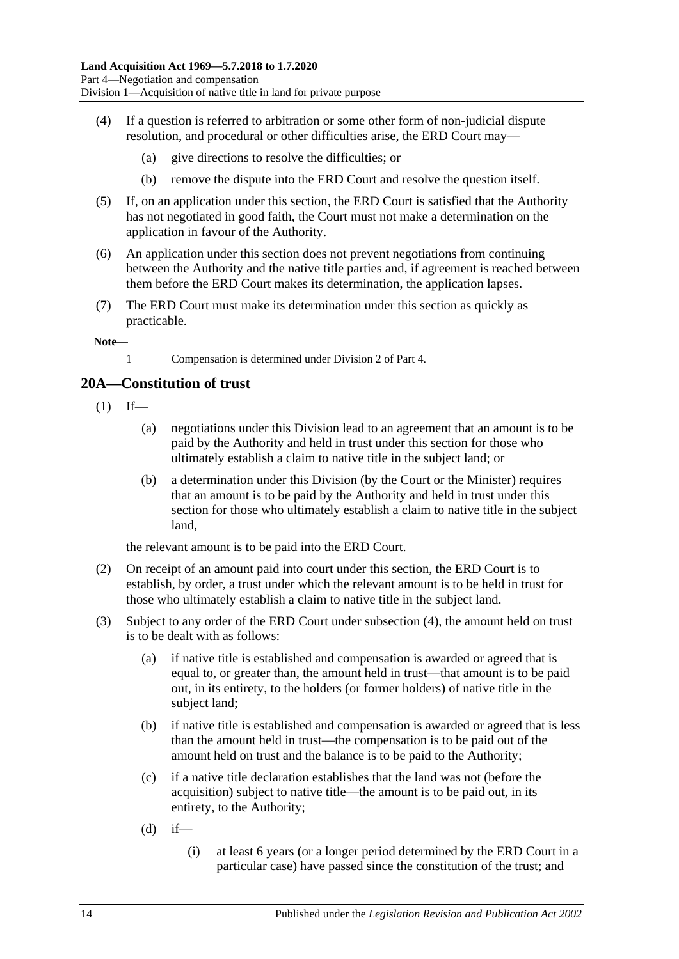- (4) If a question is referred to arbitration or some other form of non-judicial dispute resolution, and procedural or other difficulties arise, the ERD Court may—
	- (a) give directions to resolve the difficulties; or
	- (b) remove the dispute into the ERD Court and resolve the question itself.
- (5) If, on an application under this section, the ERD Court is satisfied that the Authority has not negotiated in good faith, the Court must not make a determination on the application in favour of the Authority.
- (6) An application under this section does not prevent negotiations from continuing between the Authority and the native title parties and, if agreement is reached between them before the ERD Court makes its determination, the application lapses.
- (7) The ERD Court must make its determination under this section as quickly as practicable.

**Note—**

1 Compensation is determined unde[r Division 2](#page-15-3) of [Part 4.](#page-11-1)

# <span id="page-13-0"></span>**20A—Constitution of trust**

- $(1)$  If—
	- (a) negotiations under this Division lead to an agreement that an amount is to be paid by the Authority and held in trust under this section for those who ultimately establish a claim to native title in the subject land; or
	- (b) a determination under this Division (by the Court or the Minister) requires that an amount is to be paid by the Authority and held in trust under this section for those who ultimately establish a claim to native title in the subject land,

the relevant amount is to be paid into the ERD Court.

- (2) On receipt of an amount paid into court under this section, the ERD Court is to establish, by order, a trust under which the relevant amount is to be held in trust for those who ultimately establish a claim to native title in the subject land.
- (3) Subject to any order of the ERD Court under [subsection](#page-14-1) (4), the amount held on trust is to be dealt with as follows:
	- (a) if native title is established and compensation is awarded or agreed that is equal to, or greater than, the amount held in trust—that amount is to be paid out, in its entirety, to the holders (or former holders) of native title in the subject land;
	- (b) if native title is established and compensation is awarded or agreed that is less than the amount held in trust—the compensation is to be paid out of the amount held on trust and the balance is to be paid to the Authority;
	- (c) if a native title declaration establishes that the land was not (before the acquisition) subject to native title—the amount is to be paid out, in its entirety, to the Authority;
	- $(d)$  if—
		- (i) at least 6 years (or a longer period determined by the ERD Court in a particular case) have passed since the constitution of the trust; and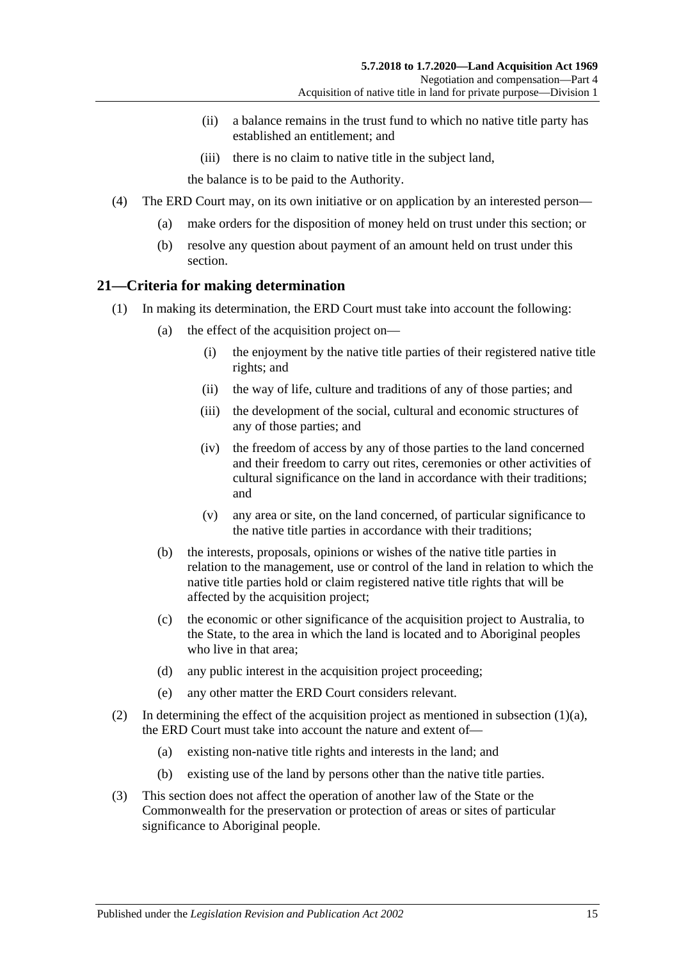- (ii) a balance remains in the trust fund to which no native title party has established an entitlement; and
- (iii) there is no claim to native title in the subject land,

the balance is to be paid to the Authority.

- <span id="page-14-1"></span>(4) The ERD Court may, on its own initiative or on application by an interested person—
	- (a) make orders for the disposition of money held on trust under this section; or
	- (b) resolve any question about payment of an amount held on trust under this section.

#### <span id="page-14-3"></span><span id="page-14-0"></span>**21—Criteria for making determination**

- <span id="page-14-2"></span>(1) In making its determination, the ERD Court must take into account the following:
	- (a) the effect of the acquisition project on—
		- (i) the enjoyment by the native title parties of their registered native title rights; and
		- (ii) the way of life, culture and traditions of any of those parties; and
		- (iii) the development of the social, cultural and economic structures of any of those parties; and
		- (iv) the freedom of access by any of those parties to the land concerned and their freedom to carry out rites, ceremonies or other activities of cultural significance on the land in accordance with their traditions; and
		- (v) any area or site, on the land concerned, of particular significance to the native title parties in accordance with their traditions;
	- (b) the interests, proposals, opinions or wishes of the native title parties in relation to the management, use or control of the land in relation to which the native title parties hold or claim registered native title rights that will be affected by the acquisition project;
	- (c) the economic or other significance of the acquisition project to Australia, to the State, to the area in which the land is located and to Aboriginal peoples who live in that area;
	- (d) any public interest in the acquisition project proceeding;
	- (e) any other matter the ERD Court considers relevant.
- (2) In determining the effect of the acquisition project as mentioned in [subsection](#page-14-2)  $(1)(a)$ , the ERD Court must take into account the nature and extent of—
	- (a) existing non-native title rights and interests in the land; and
	- (b) existing use of the land by persons other than the native title parties.
- (3) This section does not affect the operation of another law of the State or the Commonwealth for the preservation or protection of areas or sites of particular significance to Aboriginal people.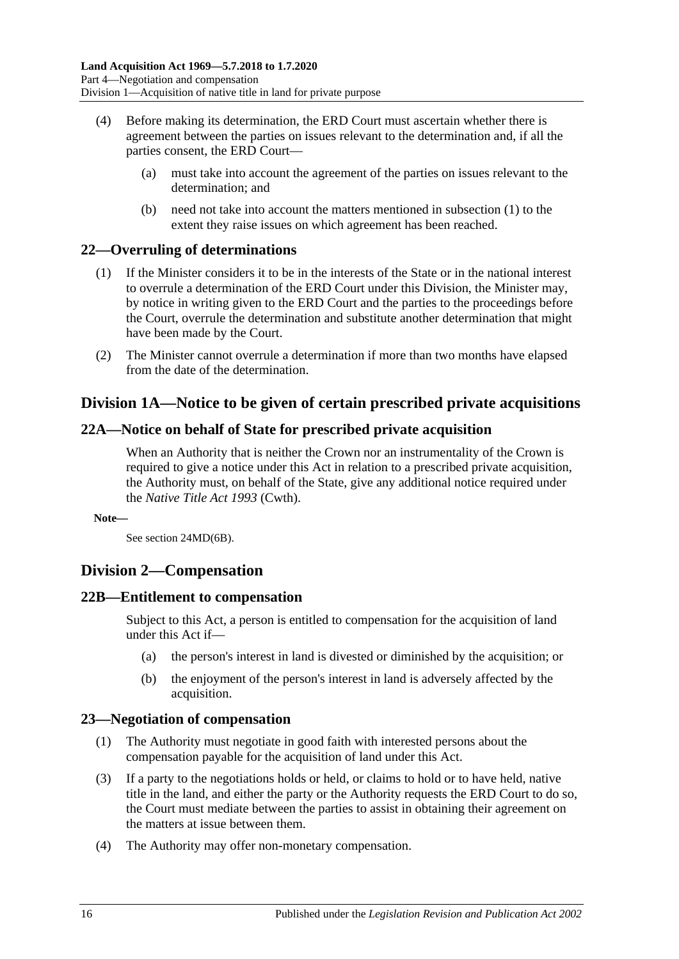- (4) Before making its determination, the ERD Court must ascertain whether there is agreement between the parties on issues relevant to the determination and, if all the parties consent, the ERD Court—
	- (a) must take into account the agreement of the parties on issues relevant to the determination; and
	- (b) need not take into account the matters mentioned in [subsection](#page-14-3) (1) to the extent they raise issues on which agreement has been reached.

# <span id="page-15-0"></span>**22—Overruling of determinations**

- (1) If the Minister considers it to be in the interests of the State or in the national interest to overrule a determination of the ERD Court under this Division, the Minister may, by notice in writing given to the ERD Court and the parties to the proceedings before the Court, overrule the determination and substitute another determination that might have been made by the Court.
- (2) The Minister cannot overrule a determination if more than two months have elapsed from the date of the determination.

# <span id="page-15-1"></span>**Division 1A—Notice to be given of certain prescribed private acquisitions**

# <span id="page-15-2"></span>**22A—Notice on behalf of State for prescribed private acquisition**

When an Authority that is neither the Crown nor an instrumentality of the Crown is required to give a notice under this Act in relation to a prescribed private acquisition, the Authority must, on behalf of the State, give any additional notice required under the *Native Title Act 1993* (Cwth).

**Note—**

See section 24MD(6B).

# <span id="page-15-3"></span>**Division 2—Compensation**

## <span id="page-15-4"></span>**22B—Entitlement to compensation**

Subject to this Act, a person is entitled to compensation for the acquisition of land under this Act if—

- (a) the person's interest in land is divested or diminished by the acquisition; or
- (b) the enjoyment of the person's interest in land is adversely affected by the acquisition.

## <span id="page-15-5"></span>**23—Negotiation of compensation**

- (1) The Authority must negotiate in good faith with interested persons about the compensation payable for the acquisition of land under this Act.
- (3) If a party to the negotiations holds or held, or claims to hold or to have held, native title in the land, and either the party or the Authority requests the ERD Court to do so, the Court must mediate between the parties to assist in obtaining their agreement on the matters at issue between them.
- (4) The Authority may offer non-monetary compensation.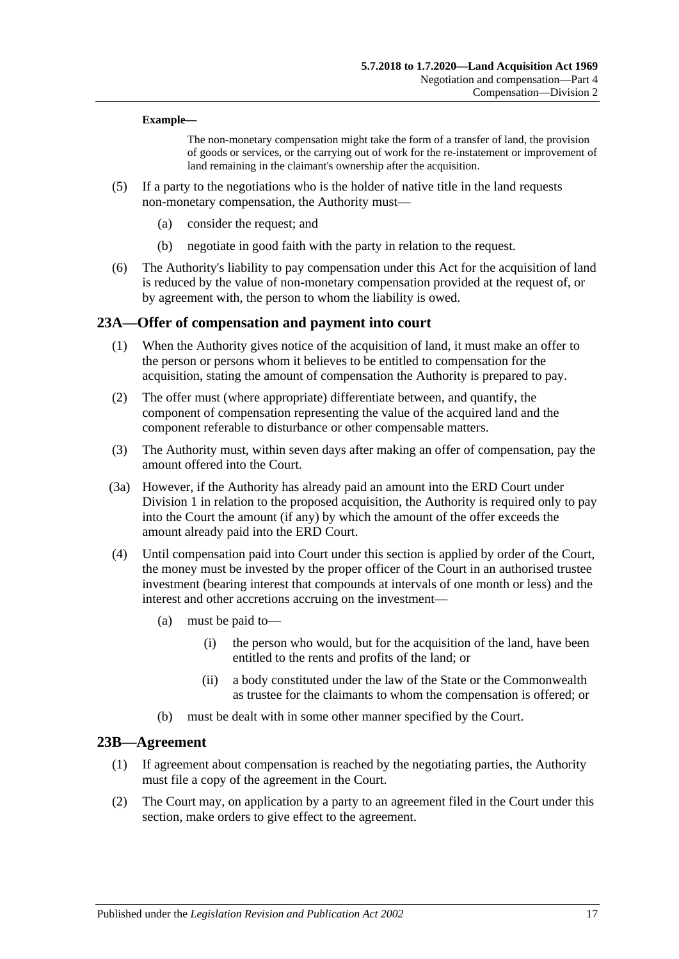#### **Example—**

The non-monetary compensation might take the form of a transfer of land, the provision of goods or services, or the carrying out of work for the re-instatement or improvement of land remaining in the claimant's ownership after the acquisition.

- (5) If a party to the negotiations who is the holder of native title in the land requests non-monetary compensation, the Authority must—
	- (a) consider the request; and
	- (b) negotiate in good faith with the party in relation to the request.
- (6) The Authority's liability to pay compensation under this Act for the acquisition of land is reduced by the value of non-monetary compensation provided at the request of, or by agreement with, the person to whom the liability is owed.

#### <span id="page-16-0"></span>**23A—Offer of compensation and payment into court**

- (1) When the Authority gives notice of the acquisition of land, it must make an offer to the person or persons whom it believes to be entitled to compensation for the acquisition, stating the amount of compensation the Authority is prepared to pay.
- (2) The offer must (where appropriate) differentiate between, and quantify, the component of compensation representing the value of the acquired land and the component referable to disturbance or other compensable matters.
- (3) The Authority must, within seven days after making an offer of compensation, pay the amount offered into the Court.
- (3a) However, if the Authority has already paid an amount into the ERD Court under [Division 1](#page-11-2) in relation to the proposed acquisition, the Authority is required only to pay into the Court the amount (if any) by which the amount of the offer exceeds the amount already paid into the ERD Court.
- (4) Until compensation paid into Court under this section is applied by order of the Court, the money must be invested by the proper officer of the Court in an authorised trustee investment (bearing interest that compounds at intervals of one month or less) and the interest and other accretions accruing on the investment—
	- (a) must be paid to—
		- (i) the person who would, but for the acquisition of the land, have been entitled to the rents and profits of the land; or
		- (ii) a body constituted under the law of the State or the Commonwealth as trustee for the claimants to whom the compensation is offered; or
	- (b) must be dealt with in some other manner specified by the Court.

#### <span id="page-16-1"></span>**23B—Agreement**

- (1) If agreement about compensation is reached by the negotiating parties, the Authority must file a copy of the agreement in the Court.
- (2) The Court may, on application by a party to an agreement filed in the Court under this section, make orders to give effect to the agreement.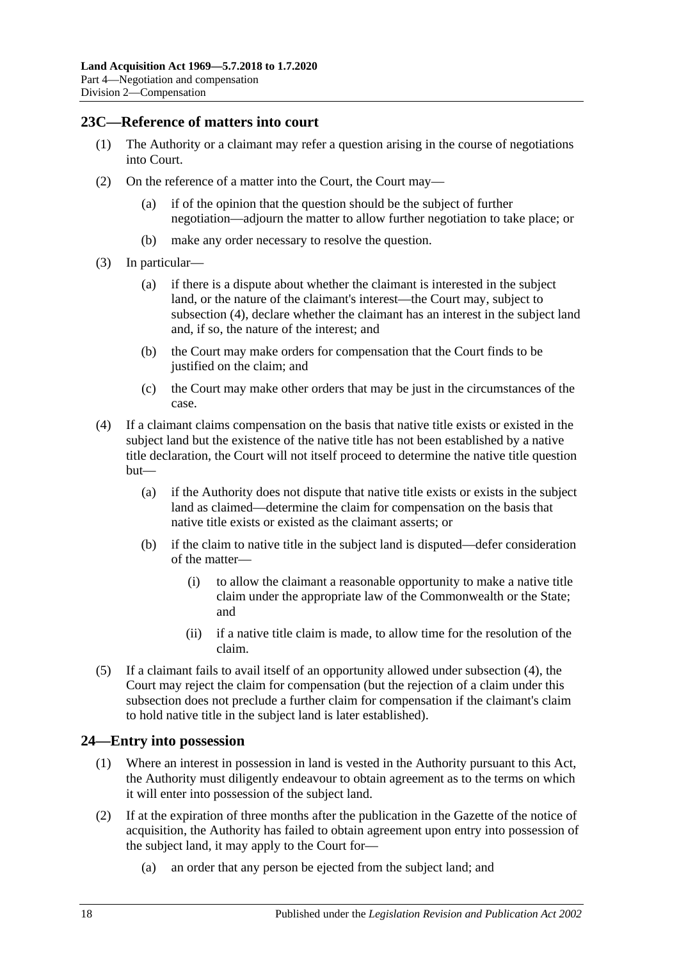#### <span id="page-17-0"></span>**23C—Reference of matters into court**

- (1) The Authority or a claimant may refer a question arising in the course of negotiations into Court.
- (2) On the reference of a matter into the Court, the Court may—
	- (a) if of the opinion that the question should be the subject of further negotiation—adjourn the matter to allow further negotiation to take place; or
	- (b) make any order necessary to resolve the question.
- (3) In particular—
	- (a) if there is a dispute about whether the claimant is interested in the subject land, or the nature of the claimant's interest—the Court may, subject to [subsection](#page-17-2) (4), declare whether the claimant has an interest in the subject land and, if so, the nature of the interest; and
	- (b) the Court may make orders for compensation that the Court finds to be justified on the claim; and
	- (c) the Court may make other orders that may be just in the circumstances of the case.
- <span id="page-17-2"></span>(4) If a claimant claims compensation on the basis that native title exists or existed in the subject land but the existence of the native title has not been established by a native title declaration, the Court will not itself proceed to determine the native title question but—
	- (a) if the Authority does not dispute that native title exists or exists in the subject land as claimed—determine the claim for compensation on the basis that native title exists or existed as the claimant asserts; or
	- (b) if the claim to native title in the subject land is disputed—defer consideration of the matter—
		- (i) to allow the claimant a reasonable opportunity to make a native title claim under the appropriate law of the Commonwealth or the State; and
		- (ii) if a native title claim is made, to allow time for the resolution of the claim.
- (5) If a claimant fails to avail itself of an opportunity allowed under [subsection](#page-17-2) (4), the Court may reject the claim for compensation (but the rejection of a claim under this subsection does not preclude a further claim for compensation if the claimant's claim to hold native title in the subject land is later established).

#### <span id="page-17-1"></span>**24—Entry into possession**

- (1) Where an interest in possession in land is vested in the Authority pursuant to this Act, the Authority must diligently endeavour to obtain agreement as to the terms on which it will enter into possession of the subject land.
- <span id="page-17-3"></span>(2) If at the expiration of three months after the publication in the Gazette of the notice of acquisition, the Authority has failed to obtain agreement upon entry into possession of the subject land, it may apply to the Court for—
	- (a) an order that any person be ejected from the subject land; and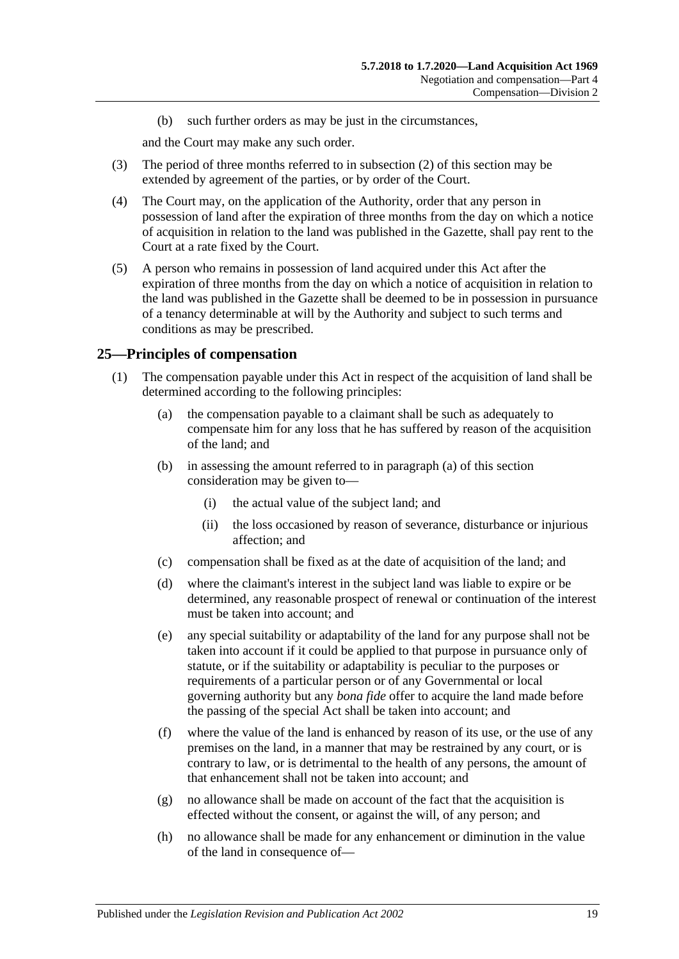(b) such further orders as may be just in the circumstances,

and the Court may make any such order.

- (3) The period of three months referred to in [subsection](#page-17-3) (2) of this section may be extended by agreement of the parties, or by order of the Court.
- (4) The Court may, on the application of the Authority, order that any person in possession of land after the expiration of three months from the day on which a notice of acquisition in relation to the land was published in the Gazette, shall pay rent to the Court at a rate fixed by the Court.
- (5) A person who remains in possession of land acquired under this Act after the expiration of three months from the day on which a notice of acquisition in relation to the land was published in the Gazette shall be deemed to be in possession in pursuance of a tenancy determinable at will by the Authority and subject to such terms and conditions as may be prescribed.

#### <span id="page-18-2"></span><span id="page-18-0"></span>**25—Principles of compensation**

- <span id="page-18-1"></span>(1) The compensation payable under this Act in respect of the acquisition of land shall be determined according to the following principles:
	- (a) the compensation payable to a claimant shall be such as adequately to compensate him for any loss that he has suffered by reason of the acquisition of the land; and
	- (b) in assessing the amount referred to in [paragraph](#page-18-1) (a) of this section consideration may be given to—
		- (i) the actual value of the subject land; and
		- (ii) the loss occasioned by reason of severance, disturbance or injurious affection; and
	- (c) compensation shall be fixed as at the date of acquisition of the land; and
	- (d) where the claimant's interest in the subject land was liable to expire or be determined, any reasonable prospect of renewal or continuation of the interest must be taken into account; and
	- (e) any special suitability or adaptability of the land for any purpose shall not be taken into account if it could be applied to that purpose in pursuance only of statute, or if the suitability or adaptability is peculiar to the purposes or requirements of a particular person or of any Governmental or local governing authority but any *bona fide* offer to acquire the land made before the passing of the special Act shall be taken into account; and
	- (f) where the value of the land is enhanced by reason of its use, or the use of any premises on the land, in a manner that may be restrained by any court, or is contrary to law, or is detrimental to the health of any persons, the amount of that enhancement shall not be taken into account; and
	- (g) no allowance shall be made on account of the fact that the acquisition is effected without the consent, or against the will, of any person; and
	- (h) no allowance shall be made for any enhancement or diminution in the value of the land in consequence of—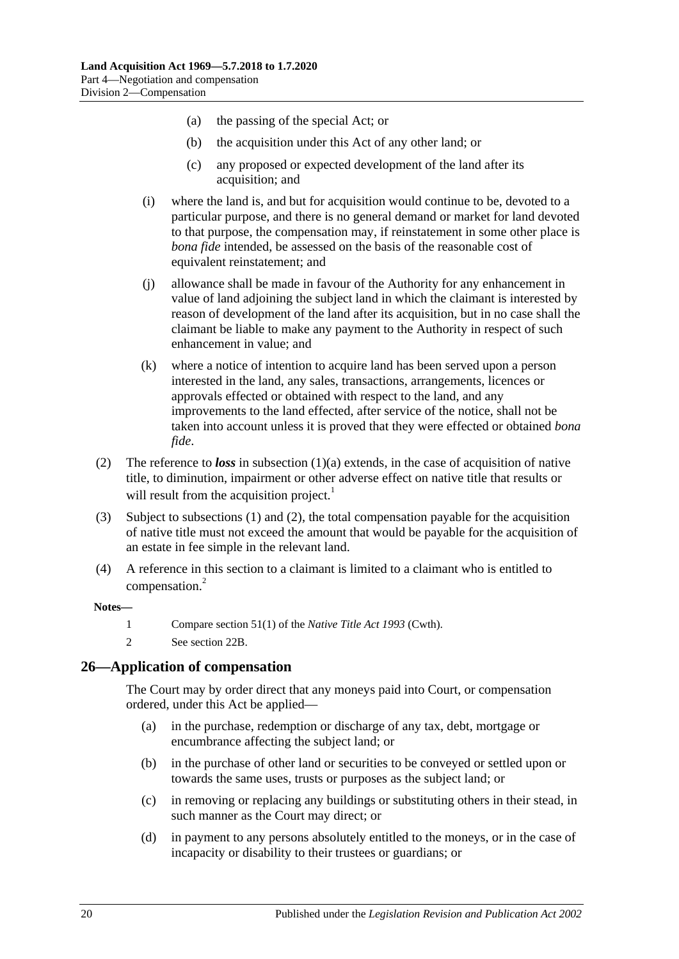- (a) the passing of the special Act; or
- (b) the acquisition under this Act of any other land; or
- (c) any proposed or expected development of the land after its acquisition; and
- (i) where the land is, and but for acquisition would continue to be, devoted to a particular purpose, and there is no general demand or market for land devoted to that purpose, the compensation may, if reinstatement in some other place is *bona fide* intended, be assessed on the basis of the reasonable cost of equivalent reinstatement; and
- (j) allowance shall be made in favour of the Authority for any enhancement in value of land adjoining the subject land in which the claimant is interested by reason of development of the land after its acquisition, but in no case shall the claimant be liable to make any payment to the Authority in respect of such enhancement in value; and
- (k) where a notice of intention to acquire land has been served upon a person interested in the land, any sales, transactions, arrangements, licences or approvals effected or obtained with respect to the land, and any improvements to the land effected, after service of the notice, shall not be taken into account unless it is proved that they were effected or obtained *bona fide*.
- <span id="page-19-1"></span>(2) The reference to *loss* in [subsection](#page-18-1) (1)(a) extends, in the case of acquisition of native title, to diminution, impairment or other adverse effect on native title that results or will result from the acquisition project.<sup>1</sup>
- (3) Subject to [subsections](#page-18-2) (1) and [\(2\),](#page-19-1) the total compensation payable for the acquisition of native title must not exceed the amount that would be payable for the acquisition of an estate in fee simple in the relevant land.
- (4) A reference in this section to a claimant is limited to a claimant who is entitled to compensation.<sup>2</sup>

#### **Notes—**

- 1 Compare section 51(1) of the *Native Title Act 1993* (Cwth).
- 2 See [section](#page-15-4) 22B.

#### <span id="page-19-0"></span>**26—Application of compensation**

The Court may by order direct that any moneys paid into Court, or compensation ordered, under this Act be applied—

- (a) in the purchase, redemption or discharge of any tax, debt, mortgage or encumbrance affecting the subject land; or
- (b) in the purchase of other land or securities to be conveyed or settled upon or towards the same uses, trusts or purposes as the subject land; or
- (c) in removing or replacing any buildings or substituting others in their stead, in such manner as the Court may direct; or
- (d) in payment to any persons absolutely entitled to the moneys, or in the case of incapacity or disability to their trustees or guardians; or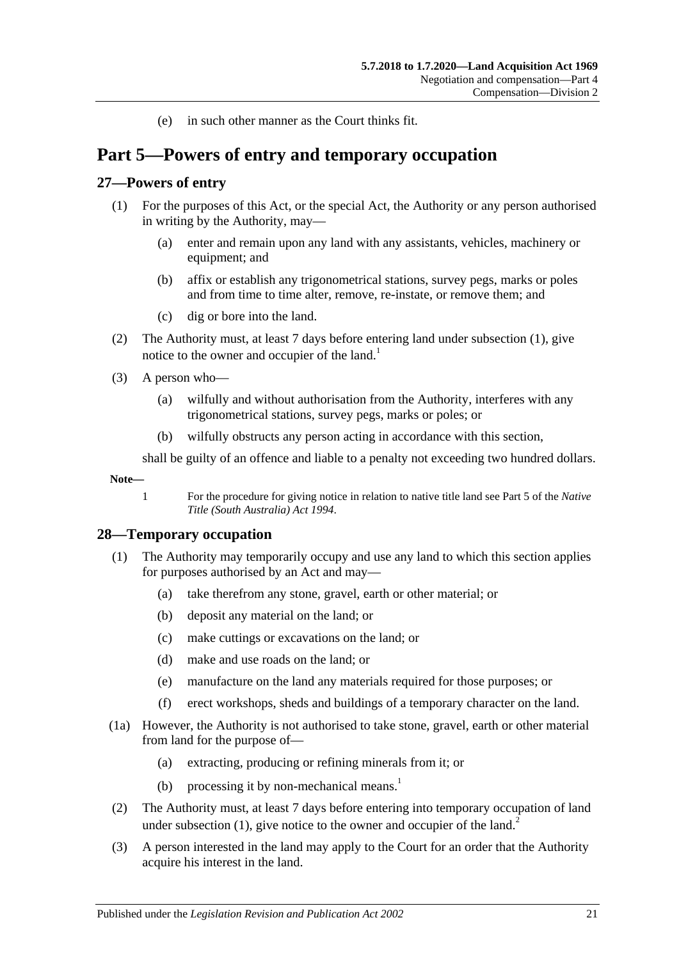(e) in such other manner as the Court thinks fit.

# <span id="page-20-0"></span>**Part 5—Powers of entry and temporary occupation**

#### <span id="page-20-3"></span><span id="page-20-1"></span>**27—Powers of entry**

- (1) For the purposes of this Act, or the special Act, the Authority or any person authorised in writing by the Authority, may—
	- (a) enter and remain upon any land with any assistants, vehicles, machinery or equipment; and
	- (b) affix or establish any trigonometrical stations, survey pegs, marks or poles and from time to time alter, remove, re-instate, or remove them; and
	- (c) dig or bore into the land.
- (2) The Authority must, at least 7 days before entering land under [subsection](#page-20-3) (1), give notice to the owner and occupier of the land.<sup>1</sup>
- (3) A person who—
	- (a) wilfully and without authorisation from the Authority, interferes with any trigonometrical stations, survey pegs, marks or poles; or
	- (b) wilfully obstructs any person acting in accordance with this section,

shall be guilty of an offence and liable to a penalty not exceeding two hundred dollars.

**Note—**

1 For the procedure for giving notice in relation to native title land see Part 5 of the *[Native](http://www.legislation.sa.gov.au/index.aspx?action=legref&type=act&legtitle=Native%20Title%20(South%20Australia)%20Act%201994)  [Title \(South Australia\) Act](http://www.legislation.sa.gov.au/index.aspx?action=legref&type=act&legtitle=Native%20Title%20(South%20Australia)%20Act%201994) 1994*.

## <span id="page-20-4"></span><span id="page-20-2"></span>**28—Temporary occupation**

- <span id="page-20-5"></span>(1) The Authority may temporarily occupy and use any land to which this section applies for purposes authorised by an Act and may—
	- (a) take therefrom any stone, gravel, earth or other material; or
	- (b) deposit any material on the land; or
	- (c) make cuttings or excavations on the land; or
	- (d) make and use roads on the land; or
	- (e) manufacture on the land any materials required for those purposes; or
	- (f) erect workshops, sheds and buildings of a temporary character on the land.
- (1a) However, the Authority is not authorised to take stone, gravel, earth or other material from land for the purpose of—
	- (a) extracting, producing or refining minerals from it; or
	- (b) processing it by non-mechanical means.<sup>1</sup>
- (2) The Authority must, at least 7 days before entering into temporary occupation of land under [subsection](#page-20-4)  $(1)$ , give notice to the owner and occupier of the land.<sup>2</sup>
- (3) A person interested in the land may apply to the Court for an order that the Authority acquire his interest in the land.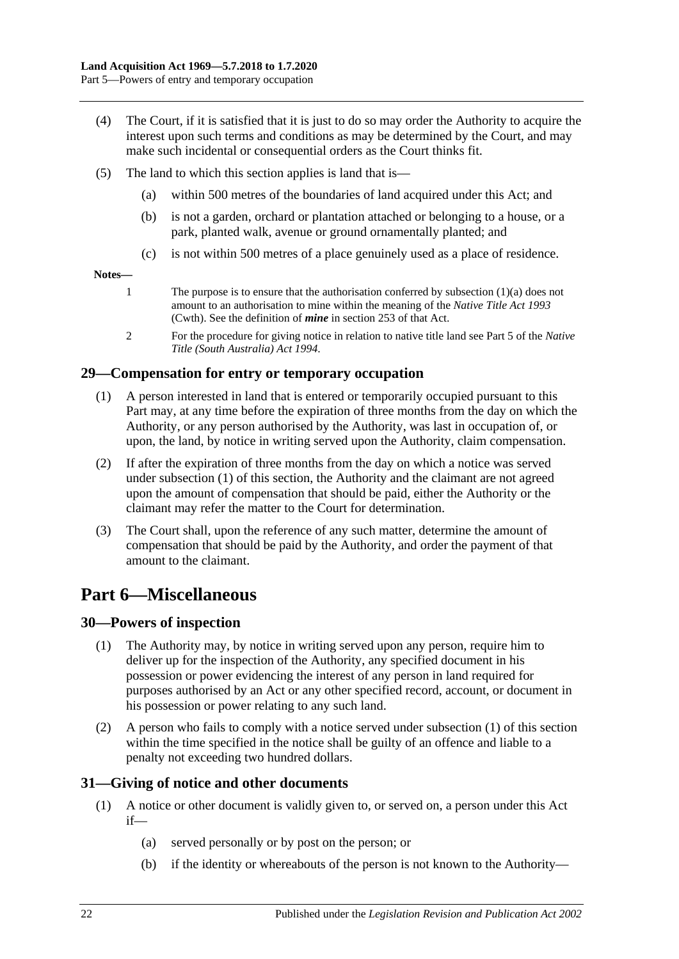- (4) The Court, if it is satisfied that it is just to do so may order the Authority to acquire the interest upon such terms and conditions as may be determined by the Court, and may make such incidental or consequential orders as the Court thinks fit.
- (5) The land to which this section applies is land that is—
	- (a) within 500 metres of the boundaries of land acquired under this Act; and
	- (b) is not a garden, orchard or plantation attached or belonging to a house, or a park, planted walk, avenue or ground ornamentally planted; and
	- (c) is not within 500 metres of a place genuinely used as a place of residence.

#### **Notes—**

- 1 The purpose is to ensure that the authorisation conferred by [subsection](#page-20-5) (1)(a) does not amount to an authorisation to mine within the meaning of the *Native Title Act 1993* (Cwth). See the definition of *mine* in section 253 of that Act.
- 2 For the procedure for giving notice in relation to native title land see Part 5 of the *[Native](http://www.legislation.sa.gov.au/index.aspx?action=legref&type=act&legtitle=Native%20Title%20(South%20Australia)%20Act%201994)  [Title \(South Australia\) Act](http://www.legislation.sa.gov.au/index.aspx?action=legref&type=act&legtitle=Native%20Title%20(South%20Australia)%20Act%201994) 1994*.

## <span id="page-21-4"></span><span id="page-21-0"></span>**29—Compensation for entry or temporary occupation**

- (1) A person interested in land that is entered or temporarily occupied pursuant to this Part may, at any time before the expiration of three months from the day on which the Authority, or any person authorised by the Authority, was last in occupation of, or upon, the land, by notice in writing served upon the Authority, claim compensation.
- (2) If after the expiration of three months from the day on which a notice was served under [subsection](#page-21-4) (1) of this section, the Authority and the claimant are not agreed upon the amount of compensation that should be paid, either the Authority or the claimant may refer the matter to the Court for determination.
- (3) The Court shall, upon the reference of any such matter, determine the amount of compensation that should be paid by the Authority, and order the payment of that amount to the claimant.

# <span id="page-21-1"></span>**Part 6—Miscellaneous**

# <span id="page-21-5"></span><span id="page-21-2"></span>**30—Powers of inspection**

- (1) The Authority may, by notice in writing served upon any person, require him to deliver up for the inspection of the Authority, any specified document in his possession or power evidencing the interest of any person in land required for purposes authorised by an Act or any other specified record, account, or document in his possession or power relating to any such land.
- (2) A person who fails to comply with a notice served under [subsection](#page-21-5) (1) of this section within the time specified in the notice shall be guilty of an offence and liable to a penalty not exceeding two hundred dollars.

# <span id="page-21-3"></span>**31—Giving of notice and other documents**

- (1) A notice or other document is validly given to, or served on, a person under this Act if—
	- (a) served personally or by post on the person; or
	- (b) if the identity or whereabouts of the person is not known to the Authority—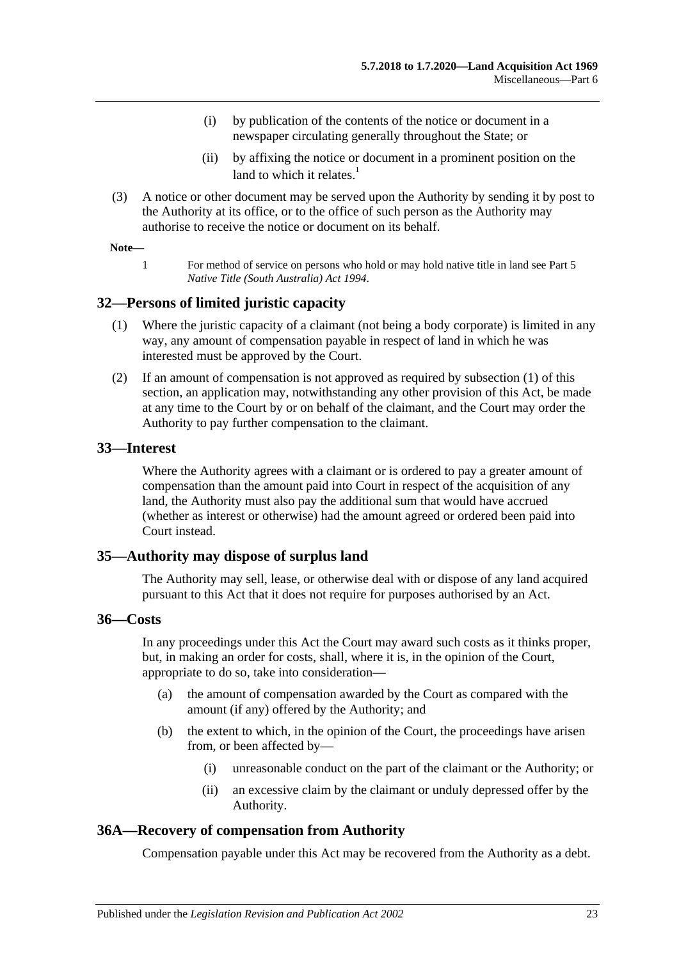- (i) by publication of the contents of the notice or document in a newspaper circulating generally throughout the State; or
- (ii) by affixing the notice or document in a prominent position on the land to which it relates. $<sup>1</sup>$ </sup>
- (3) A notice or other document may be served upon the Authority by sending it by post to the Authority at its office, or to the office of such person as the Authority may authorise to receive the notice or document on its behalf.

#### **Note—**

1 For method of service on persons who hold or may hold native title in land see Part 5 *[Native Title \(South Australia\) Act](http://www.legislation.sa.gov.au/index.aspx?action=legref&type=act&legtitle=Native%20Title%20(South%20Australia)%20Act%201994) 1994*.

#### <span id="page-22-5"></span><span id="page-22-0"></span>**32—Persons of limited juristic capacity**

- (1) Where the juristic capacity of a claimant (not being a body corporate) is limited in any way, any amount of compensation payable in respect of land in which he was interested must be approved by the Court.
- (2) If an amount of compensation is not approved as required by [subsection](#page-22-5) (1) of this section, an application may, notwithstanding any other provision of this Act, be made at any time to the Court by or on behalf of the claimant, and the Court may order the Authority to pay further compensation to the claimant.

#### <span id="page-22-1"></span>**33—Interest**

Where the Authority agrees with a claimant or is ordered to pay a greater amount of compensation than the amount paid into Court in respect of the acquisition of any land, the Authority must also pay the additional sum that would have accrued (whether as interest or otherwise) had the amount agreed or ordered been paid into Court instead.

#### <span id="page-22-2"></span>**35—Authority may dispose of surplus land**

The Authority may sell, lease, or otherwise deal with or dispose of any land acquired pursuant to this Act that it does not require for purposes authorised by an Act.

## <span id="page-22-3"></span>**36—Costs**

In any proceedings under this Act the Court may award such costs as it thinks proper, but, in making an order for costs, shall, where it is, in the opinion of the Court, appropriate to do so, take into consideration—

- (a) the amount of compensation awarded by the Court as compared with the amount (if any) offered by the Authority; and
- (b) the extent to which, in the opinion of the Court, the proceedings have arisen from, or been affected by—
	- (i) unreasonable conduct on the part of the claimant or the Authority; or
	- (ii) an excessive claim by the claimant or unduly depressed offer by the Authority.

## <span id="page-22-4"></span>**36A—Recovery of compensation from Authority**

Compensation payable under this Act may be recovered from the Authority as a debt.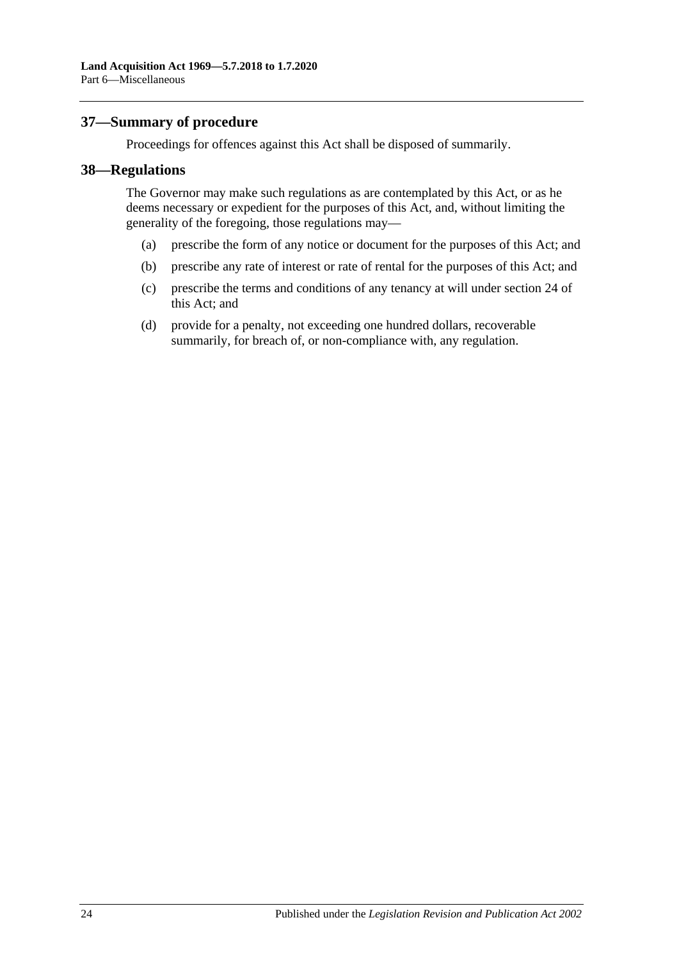## <span id="page-23-0"></span>**37—Summary of procedure**

Proceedings for offences against this Act shall be disposed of summarily.

#### <span id="page-23-1"></span>**38—Regulations**

The Governor may make such regulations as are contemplated by this Act, or as he deems necessary or expedient for the purposes of this Act, and, without limiting the generality of the foregoing, those regulations may—

- (a) prescribe the form of any notice or document for the purposes of this Act; and
- (b) prescribe any rate of interest or rate of rental for the purposes of this Act; and
- (c) prescribe the terms and conditions of any tenancy at will under [section](#page-17-1) 24 of this Act; and
- (d) provide for a penalty, not exceeding one hundred dollars, recoverable summarily, for breach of, or non-compliance with, any regulation.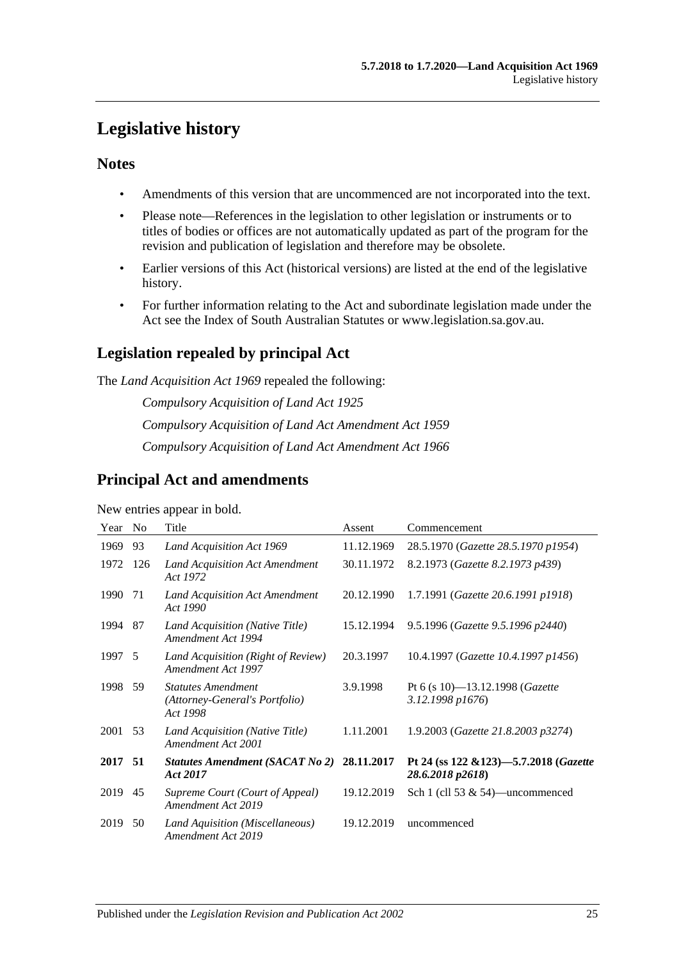# <span id="page-24-0"></span>**Legislative history**

# **Notes**

- Amendments of this version that are uncommenced are not incorporated into the text.
- Please note—References in the legislation to other legislation or instruments or to titles of bodies or offices are not automatically updated as part of the program for the revision and publication of legislation and therefore may be obsolete.
- Earlier versions of this Act (historical versions) are listed at the end of the legislative history.
- For further information relating to the Act and subordinate legislation made under the Act see the Index of South Australian Statutes or www.legislation.sa.gov.au.

# **Legislation repealed by principal Act**

The *Land Acquisition Act 1969* repealed the following:

*Compulsory Acquisition of Land Act 1925 Compulsory Acquisition of Land Act Amendment Act 1959 Compulsory Acquisition of Land Act Amendment Act 1966*

# **Principal Act and amendments**

New entries appear in bold.

| Year    | N <sub>0</sub> | Title                                                                   | Assent     | Commencement                                                |
|---------|----------------|-------------------------------------------------------------------------|------------|-------------------------------------------------------------|
| 1969    | 93             | Land Acquisition Act 1969                                               | 11.12.1969 | 28.5.1970 (Gazette 28.5.1970 p1954)                         |
| 1972    | 126            | Land Acquisition Act Amendment<br>Act 1972                              | 30.11.1972 | 8.2.1973 (Gazette 8.2.1973 p439)                            |
| 1990    | 71             | Land Acquisition Act Amendment<br>Act 1990                              | 20.12.1990 | 1.7.1991 (Gazette 20.6.1991 p1918)                          |
| 1994    | 87             | Land Acquisition (Native Title)<br>Amendment Act 1994                   | 15.12.1994 | 9.5.1996 (Gazette 9.5.1996 p2440)                           |
| 1997    | - 5            | Land Acquisition (Right of Review)<br>Amendment Act 1997                | 20.3.1997  | 10.4.1997 (Gazette 10.4.1997 p1456)                         |
| 1998    | 59             | <b>Statutes Amendment</b><br>(Attorney-General's Portfolio)<br>Act 1998 | 3.9.1998   | Pt 6 (s 10)-13.12.1998 ( <i>Gazette</i><br>3.12.1998 p1676) |
| 2001    | 53             | Land Acquisition (Native Title)<br>Amendment Act 2001                   | 1.11.2001  | 1.9.2003 (Gazette 21.8.2003 p3274)                          |
| 2017 51 |                | <b>Statutes Amendment (SACAT No 2)</b><br>Act 2017                      | 28.11.2017 | Pt 24 (ss 122 & 123)-5.7.2018 (Gazette<br>28.6.2018 p2618)  |
| 2019    | 45             | Supreme Court (Court of Appeal)<br>Amendment Act 2019                   | 19.12.2019 | Sch 1 (cll 53 $\&$ 54)—uncommenced                          |
| 2019    | 50             | Land Aquisition (Miscellaneous)<br>Amendment Act 2019                   | 19.12.2019 | uncommenced                                                 |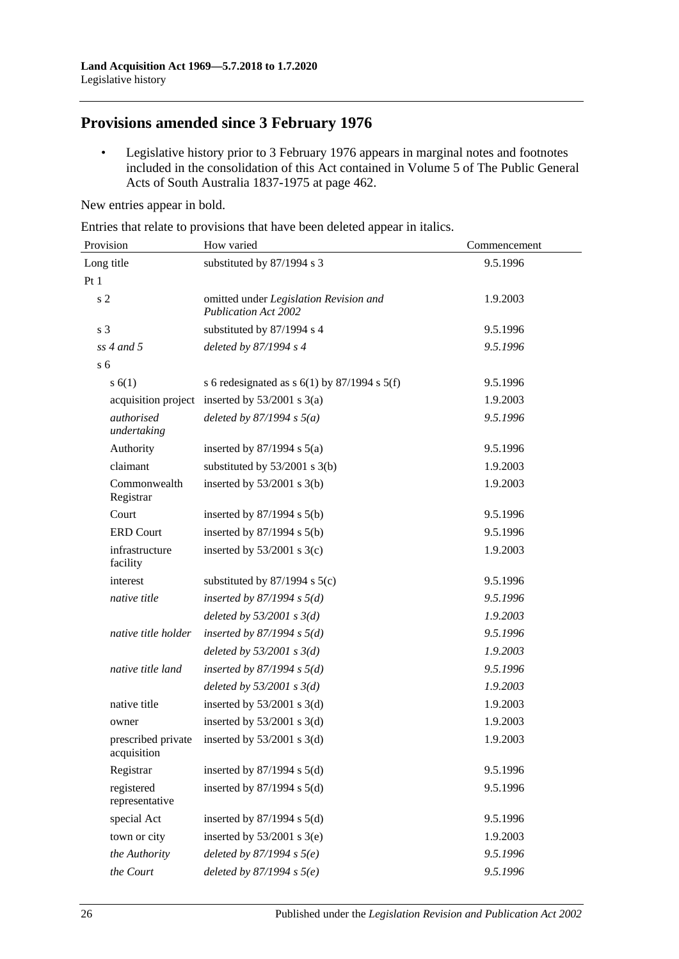# **Provisions amended since 3 February 1976**

• Legislative history prior to 3 February 1976 appears in marginal notes and footnotes included in the consolidation of this Act contained in Volume 5 of The Public General Acts of South Australia 1837-1975 at page 462.

New entries appear in bold.

Entries that relate to provisions that have been deleted appear in italics.

| Provision                         | How varied                                                            | Commencement |  |
|-----------------------------------|-----------------------------------------------------------------------|--------------|--|
| Long title                        | substituted by 87/1994 s 3                                            | 9.5.1996     |  |
| Pt1                               |                                                                       |              |  |
| s <sub>2</sub>                    | omitted under Legislation Revision and<br><b>Publication Act 2002</b> | 1.9.2003     |  |
| s <sub>3</sub>                    | substituted by 87/1994 s 4                                            | 9.5.1996     |  |
| $ss$ 4 and 5                      | deleted by 87/1994 s 4                                                | 9.5.1996     |  |
| s <sub>6</sub>                    |                                                                       |              |  |
| s(6(1))                           | s 6 redesignated as $s$ 6(1) by 87/1994 s 5(f)                        | 9.5.1996     |  |
|                                   | acquisition project inserted by $53/2001$ s 3(a)                      | 1.9.2003     |  |
| authorised<br>undertaking         | deleted by $87/1994 s 5(a)$                                           | 9.5.1996     |  |
| Authority                         | inserted by $87/1994$ s $5(a)$                                        | 9.5.1996     |  |
| claimant                          | substituted by $53/2001$ s 3(b)                                       | 1.9.2003     |  |
| Commonwealth<br>Registrar         | inserted by $53/2001$ s 3(b)                                          | 1.9.2003     |  |
| Court                             | inserted by $87/1994$ s $5(b)$                                        | 9.5.1996     |  |
| <b>ERD Court</b>                  | inserted by $87/1994$ s $5(b)$                                        | 9.5.1996     |  |
| infrastructure<br>facility        | inserted by $53/2001$ s 3(c)                                          | 1.9.2003     |  |
| interest                          | substituted by $87/1994$ s $5(c)$                                     | 9.5.1996     |  |
| native title                      | inserted by $87/1994$ s $5(d)$                                        | 9.5.1996     |  |
|                                   | deleted by $53/2001$ s $3(d)$                                         | 1.9.2003     |  |
| native title holder               | inserted by $87/1994$ s $5(d)$                                        | 9.5.1996     |  |
|                                   | deleted by $53/2001$ s $3(d)$                                         | 1.9.2003     |  |
| native title land                 | inserted by $87/1994$ s $5(d)$                                        | 9.5.1996     |  |
|                                   | deleted by $53/2001$ s $3(d)$                                         | 1.9.2003     |  |
| native title                      | inserted by $53/2001$ s 3(d)                                          | 1.9.2003     |  |
| owner                             | inserted by $53/2001$ s 3(d)                                          | 1.9.2003     |  |
| prescribed private<br>acquisition | inserted by $53/2001$ s 3(d)                                          | 1.9.2003     |  |
| Registrar                         | inserted by $87/1994$ s $5(d)$                                        | 9.5.1996     |  |
| registered<br>representative      | inserted by $87/1994$ s $5(d)$                                        | 9.5.1996     |  |
| special Act                       | inserted by $87/1994$ s $5(d)$                                        | 9.5.1996     |  |
| town or city                      | inserted by $53/2001$ s 3(e)                                          | 1.9.2003     |  |
| the Authority                     | deleted by $87/1994 s 5(e)$                                           | 9.5.1996     |  |
| the Court                         | deleted by $87/1994 s 5(e)$                                           | 9.5.1996     |  |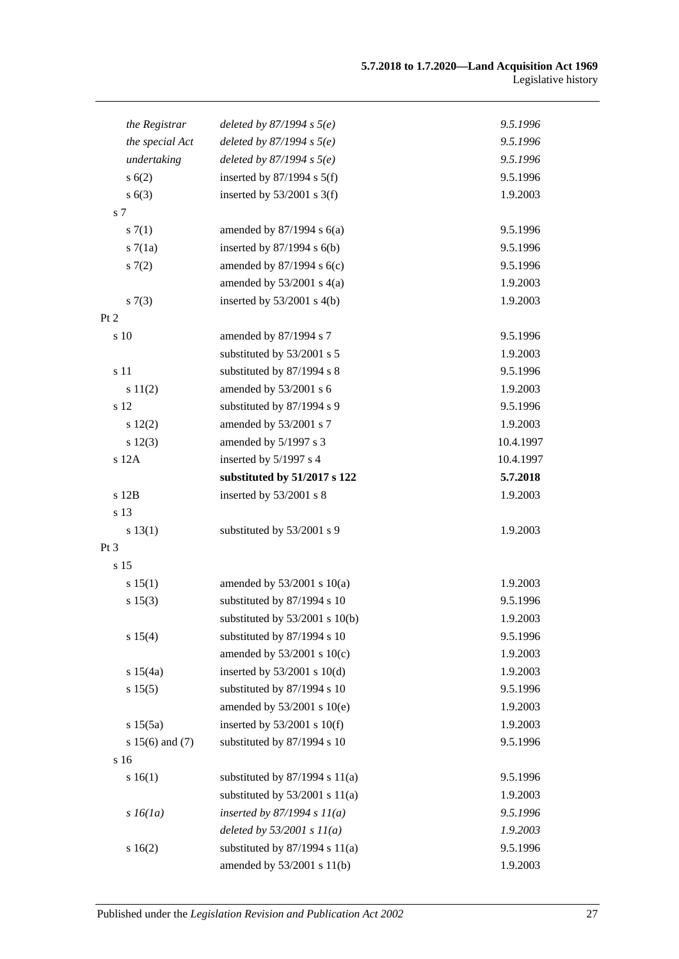| the Registrar       | deleted by $87/1994 s 5(e)$        | 9.5.1996  |
|---------------------|------------------------------------|-----------|
| the special Act     | deleted by $87/1994 s 5(e)$        | 9.5.1996  |
| undertaking         | deleted by $87/1994 s 5(e)$        | 9.5.1996  |
| s(6(2))             | inserted by $87/1994$ s $5(f)$     | 9.5.1996  |
| s(6(3))             | inserted by $53/2001$ s 3(f)       | 1.9.2003  |
| s 7                 |                                    |           |
| s(7(1))             | amended by $87/1994$ s $6(a)$      | 9.5.1996  |
| s7(1a)              | inserted by $87/1994$ s $6(b)$     | 9.5.1996  |
| 57(2)               | amended by $87/1994$ s $6(c)$      | 9.5.1996  |
|                     | amended by $53/2001$ s $4(a)$      | 1.9.2003  |
| s(7(3))             | inserted by $53/2001$ s 4(b)       | 1.9.2003  |
| Pt 2                |                                    |           |
| s 10                | amended by 87/1994 s 7             | 9.5.1996  |
|                     | substituted by 53/2001 s 5         | 1.9.2003  |
| s 11                | substituted by 87/1994 s 8         | 9.5.1996  |
| s 11(2)             | amended by 53/2001 s 6             | 1.9.2003  |
| s 12                | substituted by 87/1994 s 9         | 9.5.1996  |
| 12(2)               | amended by 53/2001 s 7             | 1.9.2003  |
| s 12(3)             | amended by 5/1997 s 3              | 10.4.1997 |
| s 12A               | inserted by 5/1997 s 4             | 10.4.1997 |
|                     | substituted by 51/2017 s 122       | 5.7.2018  |
| s 12B               | inserted by 53/2001 s 8            | 1.9.2003  |
| s 13                |                                    |           |
| s 13(1)             | substituted by 53/2001 s 9         | 1.9.2003  |
| Pt <sub>3</sub>     |                                    |           |
| s 15                |                                    |           |
| s 15(1)             | amended by $53/2001$ s $10(a)$     | 1.9.2003  |
| s 15(3)             | substituted by 87/1994 s 10        | 9.5.1996  |
|                     | substituted by $53/2001$ s $10(b)$ | 1.9.2003  |
| s 15(4)             | substituted by 87/1994 s 10        | 9.5.1996  |
|                     | amended by $53/2001$ s $10(c)$     | 1.9.2003  |
| s 15(4a)            | inserted by $53/2001$ s $10(d)$    | 1.9.2003  |
| s 15(5)             | substituted by 87/1994 s 10        | 9.5.1996  |
|                     | amended by 53/2001 s 10(e)         | 1.9.2003  |
| s 15(5a)            | inserted by $53/2001$ s $10(f)$    | 1.9.2003  |
| s $15(6)$ and $(7)$ | substituted by 87/1994 s 10        | 9.5.1996  |
| s 16                |                                    |           |
| s 16(1)             | substituted by $87/1994$ s $11(a)$ | 9.5.1996  |
|                     | substituted by $53/2001$ s $11(a)$ | 1.9.2003  |
| $s\,16(1a)$         | inserted by $87/1994 s 11(a)$      | 9.5.1996  |
|                     | deleted by $53/2001 s 11(a)$       | 1.9.2003  |
| s 16(2)             | substituted by $87/1994$ s $11(a)$ | 9.5.1996  |
|                     | amended by 53/2001 s 11(b)         | 1.9.2003  |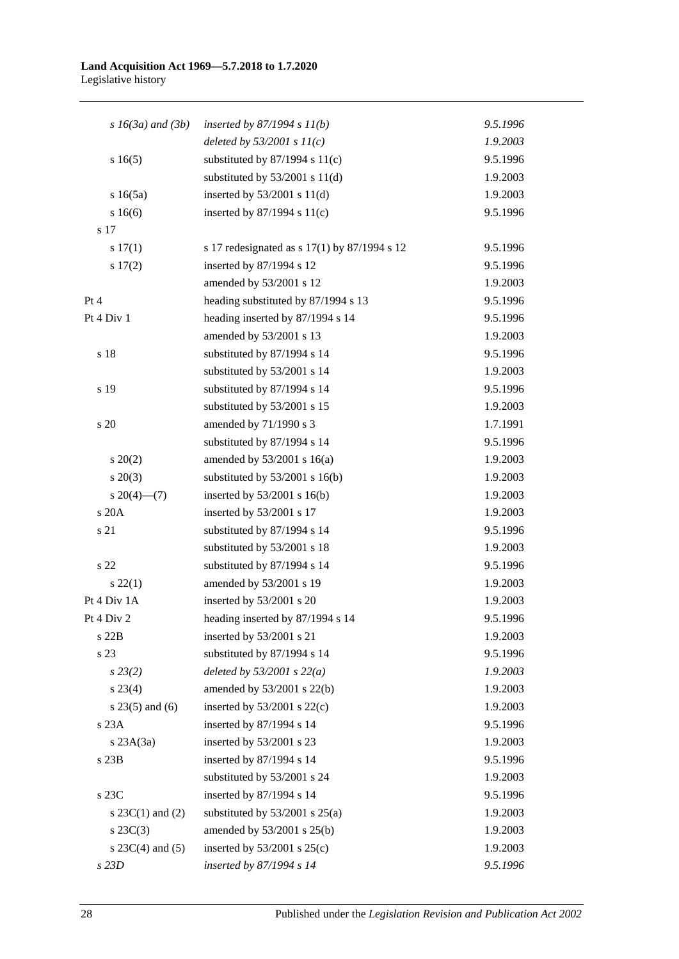#### **Land Acquisition Act 1969—5.7.2018 to 1.7.2020** Legislative history

| $s\,16(3a)$ and $(3b)$<br>inserted by $87/1994 s 11(b)$<br>9.5.1996<br>deleted by $53/2001 s 11(c)$<br>1.9.2003<br>s16(5)<br>substituted by $87/1994$ s $11(c)$<br>9.5.1996<br>substituted by $53/2001$ s $11(d)$<br>1.9.2003<br>inserted by $53/2001$ s $11(d)$<br>s16(5a)<br>1.9.2003<br>s 16(6)<br>inserted by $87/1994$ s $11(c)$<br>9.5.1996<br>s 17<br>s 17 redesignated as s 17(1) by 87/1994 s 12<br>s 17(1)<br>9.5.1996<br>inserted by 87/1994 s 12<br>s 17(2)<br>9.5.1996<br>amended by 53/2001 s 12<br>1.9.2003<br>heading substituted by 87/1994 s 13<br>9.5.1996<br>heading inserted by 87/1994 s 14<br>9.5.1996<br>amended by 53/2001 s 13<br>1.9.2003<br>s 18<br>substituted by 87/1994 s 14<br>9.5.1996<br>substituted by 53/2001 s 14<br>1.9.2003<br>substituted by 87/1994 s 14<br>s 19<br>9.5.1996<br>substituted by 53/2001 s 15<br>1.9.2003<br>amended by 71/1990 s 3<br>s 20<br>1.7.1991<br>substituted by 87/1994 s 14<br>9.5.1996<br>amended by $53/2001$ s $16(a)$<br>$s \ 20(2)$<br>1.9.2003<br>$s\ 20(3)$<br>substituted by $53/2001$ s 16(b)<br>1.9.2003<br>s 20(4)–(7)<br>inserted by $53/2001$ s $16(b)$<br>1.9.2003<br>s 20A<br>inserted by 53/2001 s 17<br>1.9.2003<br>s 21<br>substituted by 87/1994 s 14<br>9.5.1996<br>substituted by 53/2001 s 18<br>1.9.2003<br>substituted by 87/1994 s 14<br>s <sub>22</sub><br>9.5.1996<br>amended by 53/2001 s 19<br>$s\ 22(1)$<br>1.9.2003<br>inserted by 53/2001 s 20<br>1.9.2003<br>9.5.1996<br>heading inserted by 87/1994 s 14<br>inserted by 53/2001 s 21<br>s 22B<br>1.9.2003<br>s 23<br>substituted by 87/1994 s 14<br>9.5.1996<br>$s\,23(2)$<br>deleted by $53/2001$ s $22(a)$<br>1.9.2003<br>$s\,23(4)$<br>amended by $53/2001$ s $22(b)$<br>1.9.2003<br>$s$ 23(5) and (6)<br>inserted by $53/2001$ s $22(c)$<br>1.9.2003<br>s 23A<br>inserted by 87/1994 s 14<br>9.5.1996<br>inserted by 53/2001 s 23<br>1.9.2003<br>$s$ 23A $(3a)$<br>s 23B<br>inserted by 87/1994 s 14<br>9.5.1996<br>substituted by 53/2001 s 24<br>1.9.2003<br>inserted by 87/1994 s 14<br>s 23C<br>9.5.1996<br>substituted by $53/2001$ s $25(a)$<br>s $23C(1)$ and $(2)$<br>1.9.2003<br>1.9.2003<br>$s\,23C(3)$<br>amended by $53/2001$ s $25(b)$<br>inserted by $53/2001$ s $25(c)$<br>s $23C(4)$ and $(5)$<br>1.9.2003<br>s 23D |             |                          |          |
|---------------------------------------------------------------------------------------------------------------------------------------------------------------------------------------------------------------------------------------------------------------------------------------------------------------------------------------------------------------------------------------------------------------------------------------------------------------------------------------------------------------------------------------------------------------------------------------------------------------------------------------------------------------------------------------------------------------------------------------------------------------------------------------------------------------------------------------------------------------------------------------------------------------------------------------------------------------------------------------------------------------------------------------------------------------------------------------------------------------------------------------------------------------------------------------------------------------------------------------------------------------------------------------------------------------------------------------------------------------------------------------------------------------------------------------------------------------------------------------------------------------------------------------------------------------------------------------------------------------------------------------------------------------------------------------------------------------------------------------------------------------------------------------------------------------------------------------------------------------------------------------------------------------------------------------------------------------------------------------------------------------------------------------------------------------------------------------------------------------------------------------------------------------------------------------------------------------------------------------------------------------------------------------------|-------------|--------------------------|----------|
|                                                                                                                                                                                                                                                                                                                                                                                                                                                                                                                                                                                                                                                                                                                                                                                                                                                                                                                                                                                                                                                                                                                                                                                                                                                                                                                                                                                                                                                                                                                                                                                                                                                                                                                                                                                                                                                                                                                                                                                                                                                                                                                                                                                                                                                                                             |             |                          |          |
|                                                                                                                                                                                                                                                                                                                                                                                                                                                                                                                                                                                                                                                                                                                                                                                                                                                                                                                                                                                                                                                                                                                                                                                                                                                                                                                                                                                                                                                                                                                                                                                                                                                                                                                                                                                                                                                                                                                                                                                                                                                                                                                                                                                                                                                                                             |             |                          |          |
|                                                                                                                                                                                                                                                                                                                                                                                                                                                                                                                                                                                                                                                                                                                                                                                                                                                                                                                                                                                                                                                                                                                                                                                                                                                                                                                                                                                                                                                                                                                                                                                                                                                                                                                                                                                                                                                                                                                                                                                                                                                                                                                                                                                                                                                                                             |             |                          |          |
|                                                                                                                                                                                                                                                                                                                                                                                                                                                                                                                                                                                                                                                                                                                                                                                                                                                                                                                                                                                                                                                                                                                                                                                                                                                                                                                                                                                                                                                                                                                                                                                                                                                                                                                                                                                                                                                                                                                                                                                                                                                                                                                                                                                                                                                                                             |             |                          |          |
|                                                                                                                                                                                                                                                                                                                                                                                                                                                                                                                                                                                                                                                                                                                                                                                                                                                                                                                                                                                                                                                                                                                                                                                                                                                                                                                                                                                                                                                                                                                                                                                                                                                                                                                                                                                                                                                                                                                                                                                                                                                                                                                                                                                                                                                                                             |             |                          |          |
|                                                                                                                                                                                                                                                                                                                                                                                                                                                                                                                                                                                                                                                                                                                                                                                                                                                                                                                                                                                                                                                                                                                                                                                                                                                                                                                                                                                                                                                                                                                                                                                                                                                                                                                                                                                                                                                                                                                                                                                                                                                                                                                                                                                                                                                                                             |             |                          |          |
|                                                                                                                                                                                                                                                                                                                                                                                                                                                                                                                                                                                                                                                                                                                                                                                                                                                                                                                                                                                                                                                                                                                                                                                                                                                                                                                                                                                                                                                                                                                                                                                                                                                                                                                                                                                                                                                                                                                                                                                                                                                                                                                                                                                                                                                                                             |             |                          |          |
|                                                                                                                                                                                                                                                                                                                                                                                                                                                                                                                                                                                                                                                                                                                                                                                                                                                                                                                                                                                                                                                                                                                                                                                                                                                                                                                                                                                                                                                                                                                                                                                                                                                                                                                                                                                                                                                                                                                                                                                                                                                                                                                                                                                                                                                                                             |             |                          |          |
|                                                                                                                                                                                                                                                                                                                                                                                                                                                                                                                                                                                                                                                                                                                                                                                                                                                                                                                                                                                                                                                                                                                                                                                                                                                                                                                                                                                                                                                                                                                                                                                                                                                                                                                                                                                                                                                                                                                                                                                                                                                                                                                                                                                                                                                                                             |             |                          |          |
|                                                                                                                                                                                                                                                                                                                                                                                                                                                                                                                                                                                                                                                                                                                                                                                                                                                                                                                                                                                                                                                                                                                                                                                                                                                                                                                                                                                                                                                                                                                                                                                                                                                                                                                                                                                                                                                                                                                                                                                                                                                                                                                                                                                                                                                                                             |             |                          |          |
|                                                                                                                                                                                                                                                                                                                                                                                                                                                                                                                                                                                                                                                                                                                                                                                                                                                                                                                                                                                                                                                                                                                                                                                                                                                                                                                                                                                                                                                                                                                                                                                                                                                                                                                                                                                                                                                                                                                                                                                                                                                                                                                                                                                                                                                                                             | Pt 4        |                          |          |
|                                                                                                                                                                                                                                                                                                                                                                                                                                                                                                                                                                                                                                                                                                                                                                                                                                                                                                                                                                                                                                                                                                                                                                                                                                                                                                                                                                                                                                                                                                                                                                                                                                                                                                                                                                                                                                                                                                                                                                                                                                                                                                                                                                                                                                                                                             | Pt 4 Div 1  |                          |          |
|                                                                                                                                                                                                                                                                                                                                                                                                                                                                                                                                                                                                                                                                                                                                                                                                                                                                                                                                                                                                                                                                                                                                                                                                                                                                                                                                                                                                                                                                                                                                                                                                                                                                                                                                                                                                                                                                                                                                                                                                                                                                                                                                                                                                                                                                                             |             |                          |          |
|                                                                                                                                                                                                                                                                                                                                                                                                                                                                                                                                                                                                                                                                                                                                                                                                                                                                                                                                                                                                                                                                                                                                                                                                                                                                                                                                                                                                                                                                                                                                                                                                                                                                                                                                                                                                                                                                                                                                                                                                                                                                                                                                                                                                                                                                                             |             |                          |          |
|                                                                                                                                                                                                                                                                                                                                                                                                                                                                                                                                                                                                                                                                                                                                                                                                                                                                                                                                                                                                                                                                                                                                                                                                                                                                                                                                                                                                                                                                                                                                                                                                                                                                                                                                                                                                                                                                                                                                                                                                                                                                                                                                                                                                                                                                                             |             |                          |          |
|                                                                                                                                                                                                                                                                                                                                                                                                                                                                                                                                                                                                                                                                                                                                                                                                                                                                                                                                                                                                                                                                                                                                                                                                                                                                                                                                                                                                                                                                                                                                                                                                                                                                                                                                                                                                                                                                                                                                                                                                                                                                                                                                                                                                                                                                                             |             |                          |          |
|                                                                                                                                                                                                                                                                                                                                                                                                                                                                                                                                                                                                                                                                                                                                                                                                                                                                                                                                                                                                                                                                                                                                                                                                                                                                                                                                                                                                                                                                                                                                                                                                                                                                                                                                                                                                                                                                                                                                                                                                                                                                                                                                                                                                                                                                                             |             |                          |          |
|                                                                                                                                                                                                                                                                                                                                                                                                                                                                                                                                                                                                                                                                                                                                                                                                                                                                                                                                                                                                                                                                                                                                                                                                                                                                                                                                                                                                                                                                                                                                                                                                                                                                                                                                                                                                                                                                                                                                                                                                                                                                                                                                                                                                                                                                                             |             |                          |          |
|                                                                                                                                                                                                                                                                                                                                                                                                                                                                                                                                                                                                                                                                                                                                                                                                                                                                                                                                                                                                                                                                                                                                                                                                                                                                                                                                                                                                                                                                                                                                                                                                                                                                                                                                                                                                                                                                                                                                                                                                                                                                                                                                                                                                                                                                                             |             |                          |          |
|                                                                                                                                                                                                                                                                                                                                                                                                                                                                                                                                                                                                                                                                                                                                                                                                                                                                                                                                                                                                                                                                                                                                                                                                                                                                                                                                                                                                                                                                                                                                                                                                                                                                                                                                                                                                                                                                                                                                                                                                                                                                                                                                                                                                                                                                                             |             |                          |          |
|                                                                                                                                                                                                                                                                                                                                                                                                                                                                                                                                                                                                                                                                                                                                                                                                                                                                                                                                                                                                                                                                                                                                                                                                                                                                                                                                                                                                                                                                                                                                                                                                                                                                                                                                                                                                                                                                                                                                                                                                                                                                                                                                                                                                                                                                                             |             |                          |          |
|                                                                                                                                                                                                                                                                                                                                                                                                                                                                                                                                                                                                                                                                                                                                                                                                                                                                                                                                                                                                                                                                                                                                                                                                                                                                                                                                                                                                                                                                                                                                                                                                                                                                                                                                                                                                                                                                                                                                                                                                                                                                                                                                                                                                                                                                                             |             |                          |          |
|                                                                                                                                                                                                                                                                                                                                                                                                                                                                                                                                                                                                                                                                                                                                                                                                                                                                                                                                                                                                                                                                                                                                                                                                                                                                                                                                                                                                                                                                                                                                                                                                                                                                                                                                                                                                                                                                                                                                                                                                                                                                                                                                                                                                                                                                                             |             |                          |          |
|                                                                                                                                                                                                                                                                                                                                                                                                                                                                                                                                                                                                                                                                                                                                                                                                                                                                                                                                                                                                                                                                                                                                                                                                                                                                                                                                                                                                                                                                                                                                                                                                                                                                                                                                                                                                                                                                                                                                                                                                                                                                                                                                                                                                                                                                                             |             |                          |          |
|                                                                                                                                                                                                                                                                                                                                                                                                                                                                                                                                                                                                                                                                                                                                                                                                                                                                                                                                                                                                                                                                                                                                                                                                                                                                                                                                                                                                                                                                                                                                                                                                                                                                                                                                                                                                                                                                                                                                                                                                                                                                                                                                                                                                                                                                                             |             |                          |          |
|                                                                                                                                                                                                                                                                                                                                                                                                                                                                                                                                                                                                                                                                                                                                                                                                                                                                                                                                                                                                                                                                                                                                                                                                                                                                                                                                                                                                                                                                                                                                                                                                                                                                                                                                                                                                                                                                                                                                                                                                                                                                                                                                                                                                                                                                                             |             |                          |          |
|                                                                                                                                                                                                                                                                                                                                                                                                                                                                                                                                                                                                                                                                                                                                                                                                                                                                                                                                                                                                                                                                                                                                                                                                                                                                                                                                                                                                                                                                                                                                                                                                                                                                                                                                                                                                                                                                                                                                                                                                                                                                                                                                                                                                                                                                                             |             |                          |          |
|                                                                                                                                                                                                                                                                                                                                                                                                                                                                                                                                                                                                                                                                                                                                                                                                                                                                                                                                                                                                                                                                                                                                                                                                                                                                                                                                                                                                                                                                                                                                                                                                                                                                                                                                                                                                                                                                                                                                                                                                                                                                                                                                                                                                                                                                                             | Pt 4 Div 1A |                          |          |
|                                                                                                                                                                                                                                                                                                                                                                                                                                                                                                                                                                                                                                                                                                                                                                                                                                                                                                                                                                                                                                                                                                                                                                                                                                                                                                                                                                                                                                                                                                                                                                                                                                                                                                                                                                                                                                                                                                                                                                                                                                                                                                                                                                                                                                                                                             | Pt 4 Div 2  |                          |          |
|                                                                                                                                                                                                                                                                                                                                                                                                                                                                                                                                                                                                                                                                                                                                                                                                                                                                                                                                                                                                                                                                                                                                                                                                                                                                                                                                                                                                                                                                                                                                                                                                                                                                                                                                                                                                                                                                                                                                                                                                                                                                                                                                                                                                                                                                                             |             |                          |          |
|                                                                                                                                                                                                                                                                                                                                                                                                                                                                                                                                                                                                                                                                                                                                                                                                                                                                                                                                                                                                                                                                                                                                                                                                                                                                                                                                                                                                                                                                                                                                                                                                                                                                                                                                                                                                                                                                                                                                                                                                                                                                                                                                                                                                                                                                                             |             |                          |          |
|                                                                                                                                                                                                                                                                                                                                                                                                                                                                                                                                                                                                                                                                                                                                                                                                                                                                                                                                                                                                                                                                                                                                                                                                                                                                                                                                                                                                                                                                                                                                                                                                                                                                                                                                                                                                                                                                                                                                                                                                                                                                                                                                                                                                                                                                                             |             |                          |          |
|                                                                                                                                                                                                                                                                                                                                                                                                                                                                                                                                                                                                                                                                                                                                                                                                                                                                                                                                                                                                                                                                                                                                                                                                                                                                                                                                                                                                                                                                                                                                                                                                                                                                                                                                                                                                                                                                                                                                                                                                                                                                                                                                                                                                                                                                                             |             |                          |          |
|                                                                                                                                                                                                                                                                                                                                                                                                                                                                                                                                                                                                                                                                                                                                                                                                                                                                                                                                                                                                                                                                                                                                                                                                                                                                                                                                                                                                                                                                                                                                                                                                                                                                                                                                                                                                                                                                                                                                                                                                                                                                                                                                                                                                                                                                                             |             |                          |          |
|                                                                                                                                                                                                                                                                                                                                                                                                                                                                                                                                                                                                                                                                                                                                                                                                                                                                                                                                                                                                                                                                                                                                                                                                                                                                                                                                                                                                                                                                                                                                                                                                                                                                                                                                                                                                                                                                                                                                                                                                                                                                                                                                                                                                                                                                                             |             |                          |          |
|                                                                                                                                                                                                                                                                                                                                                                                                                                                                                                                                                                                                                                                                                                                                                                                                                                                                                                                                                                                                                                                                                                                                                                                                                                                                                                                                                                                                                                                                                                                                                                                                                                                                                                                                                                                                                                                                                                                                                                                                                                                                                                                                                                                                                                                                                             |             |                          |          |
|                                                                                                                                                                                                                                                                                                                                                                                                                                                                                                                                                                                                                                                                                                                                                                                                                                                                                                                                                                                                                                                                                                                                                                                                                                                                                                                                                                                                                                                                                                                                                                                                                                                                                                                                                                                                                                                                                                                                                                                                                                                                                                                                                                                                                                                                                             |             |                          |          |
|                                                                                                                                                                                                                                                                                                                                                                                                                                                                                                                                                                                                                                                                                                                                                                                                                                                                                                                                                                                                                                                                                                                                                                                                                                                                                                                                                                                                                                                                                                                                                                                                                                                                                                                                                                                                                                                                                                                                                                                                                                                                                                                                                                                                                                                                                             |             |                          |          |
|                                                                                                                                                                                                                                                                                                                                                                                                                                                                                                                                                                                                                                                                                                                                                                                                                                                                                                                                                                                                                                                                                                                                                                                                                                                                                                                                                                                                                                                                                                                                                                                                                                                                                                                                                                                                                                                                                                                                                                                                                                                                                                                                                                                                                                                                                             |             |                          |          |
|                                                                                                                                                                                                                                                                                                                                                                                                                                                                                                                                                                                                                                                                                                                                                                                                                                                                                                                                                                                                                                                                                                                                                                                                                                                                                                                                                                                                                                                                                                                                                                                                                                                                                                                                                                                                                                                                                                                                                                                                                                                                                                                                                                                                                                                                                             |             |                          |          |
|                                                                                                                                                                                                                                                                                                                                                                                                                                                                                                                                                                                                                                                                                                                                                                                                                                                                                                                                                                                                                                                                                                                                                                                                                                                                                                                                                                                                                                                                                                                                                                                                                                                                                                                                                                                                                                                                                                                                                                                                                                                                                                                                                                                                                                                                                             |             |                          |          |
|                                                                                                                                                                                                                                                                                                                                                                                                                                                                                                                                                                                                                                                                                                                                                                                                                                                                                                                                                                                                                                                                                                                                                                                                                                                                                                                                                                                                                                                                                                                                                                                                                                                                                                                                                                                                                                                                                                                                                                                                                                                                                                                                                                                                                                                                                             |             |                          |          |
|                                                                                                                                                                                                                                                                                                                                                                                                                                                                                                                                                                                                                                                                                                                                                                                                                                                                                                                                                                                                                                                                                                                                                                                                                                                                                                                                                                                                                                                                                                                                                                                                                                                                                                                                                                                                                                                                                                                                                                                                                                                                                                                                                                                                                                                                                             |             | inserted by 87/1994 s 14 | 9.5.1996 |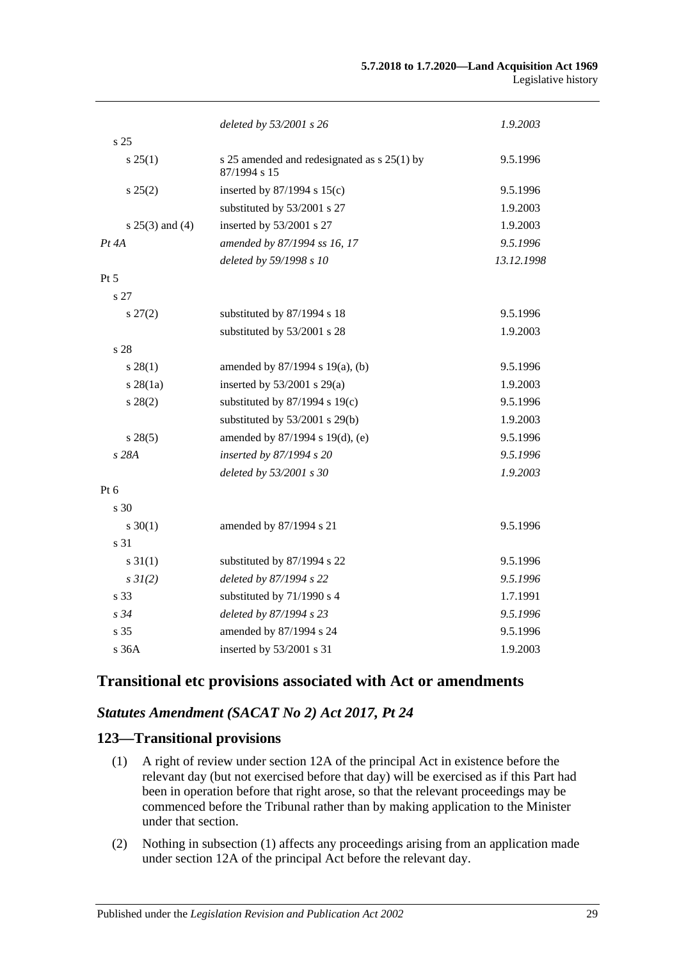|                   | deleted by 53/2001 s 26                                     | 1.9.2003   |
|-------------------|-------------------------------------------------------------|------------|
| s <sub>25</sub>   |                                                             |            |
| $s \, 25(1)$      | s 25 amended and redesignated as s 25(1) by<br>87/1994 s 15 | 9.5.1996   |
| $s\,25(2)$        | inserted by $87/1994$ s $15(c)$                             | 9.5.1996   |
|                   | substituted by 53/2001 s 27                                 | 1.9.2003   |
| $s 25(3)$ and (4) | inserted by 53/2001 s 27                                    | 1.9.2003   |
| $Pt\,4A$          | amended by 87/1994 ss 16, 17                                | 9.5.1996   |
|                   | deleted by 59/1998 s 10                                     | 13.12.1998 |
| Pt 5              |                                                             |            |
| s 27              |                                                             |            |
| $s\,27(2)$        | substituted by 87/1994 s 18                                 | 9.5.1996   |
|                   | substituted by 53/2001 s 28                                 | 1.9.2003   |
| s <sub>28</sub>   |                                                             |            |
| $s\,28(1)$        | amended by $87/1994$ s $19(a)$ , (b)                        | 9.5.1996   |
| $s \, 28(1a)$     | inserted by 53/2001 s 29(a)                                 | 1.9.2003   |
| $s\,28(2)$        | substituted by $87/1994$ s $19(c)$                          | 9.5.1996   |
|                   | substituted by $53/2001$ s $29(b)$                          | 1.9.2003   |
| $s\,28(5)$        | amended by 87/1994 s 19(d), (e)                             | 9.5.1996   |
| s 28A             | inserted by 87/1994 s 20                                    | 9.5.1996   |
|                   | deleted by 53/2001 s 30                                     | 1.9.2003   |
| Pt $6$            |                                                             |            |
| s 30              |                                                             |            |
| $s \ 30(1)$       | amended by 87/1994 s 21                                     | 9.5.1996   |
| s 31              |                                                             |            |
| $s \, 31(1)$      | substituted by 87/1994 s 22                                 | 9.5.1996   |
| $s \, 3I(2)$      | deleted by 87/1994 s 22                                     | 9.5.1996   |
| s 33              | substituted by 71/1990 s 4                                  | 1.7.1991   |
| $s\,34$           | deleted by 87/1994 s 23                                     | 9.5.1996   |
| s <sub>35</sub>   | amended by 87/1994 s 24                                     | 9.5.1996   |
| s36A              | inserted by 53/2001 s 31                                    | 1.9.2003   |

# **Transitional etc provisions associated with Act or amendments**

# *Statutes Amendment (SACAT No 2) Act 2017, Pt 24*

## <span id="page-28-0"></span>**123—Transitional provisions**

- (1) A right of review under section 12A of the principal Act in existence before the relevant day (but not exercised before that day) will be exercised as if this Part had been in operation before that right arose, so that the relevant proceedings may be commenced before the Tribunal rather than by making application to the Minister under that section.
- (2) Nothing in [subsection](#page-28-0) (1) affects any proceedings arising from an application made under section 12A of the principal Act before the relevant day.